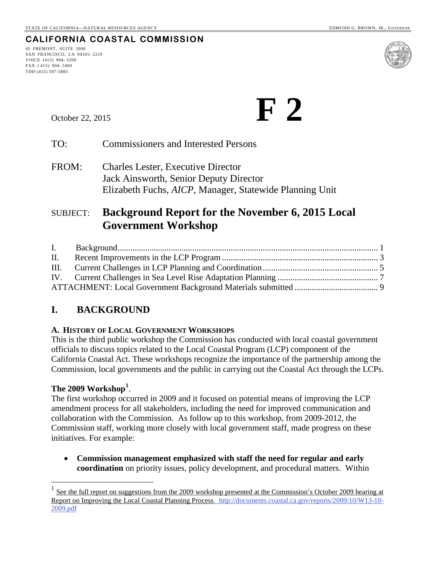### **CALIFORNIA COASTAL COMMISSION**

45 FREMONT, SUITE 2000 SAN FRANCISCO, CA 94105- 2219 VOICE (415) 904- 5200 FAX ( 415) 904- 5400 TDD (415) 597-5885



October 22, 2015 **F**  $\binom{1}{2}$ 

TO: Commissioners and Interested Persons

FROM: Charles Lester, Executive Director Jack Ainsworth, Senior Deputy Director Elizabeth Fuchs, *AICP*, Manager, Statewide Planning Unit

### SUBJECT: **Background Report for the November 6, 2015 Local Government Workshop**

| II. |  |
|-----|--|
|     |  |
|     |  |
|     |  |

### <span id="page-0-0"></span>**I. BACKGROUND**

#### **A. HISTORY OF LOCAL GOVERNMENT WORKSHOPS**

This is the third public workshop the Commission has conducted with local coastal government officials to discuss topics related to the Local Coastal Program (LCP) component of the California Coastal Act. These workshops recognize the importance of the partnership among the Commission, local governments and the public in carrying out the Coastal Act through the LCPs.

### **The 2009 Workshop[1](#page-0-1)** .

 $\overline{a}$ 

The first workshop occurred in 2009 and it focused on potential means of improving the LCP amendment process for all stakeholders, including the need for improved communication and collaboration with the Commission. As follow up to this workshop, from 2009-2012, the Commission staff, working more closely with local government staff, made progress on these initiatives. For example:

• **Commission management emphasized with staff the need for regular and early coordination** on priority issues, policy development, and procedural matters. Within

<span id="page-0-1"></span>See the full report on suggestions from the 2009 workshop presented at the Commission's October 2009 hearing at [Report on Improving the Local Coastal Planning Process. http://documents.coastal.ca.gov/reports/2009/10/W13-10-](http://documents.coastal.ca.gov/reports/2009/10/W13-10-2009.pdf) [2009.pdf](http://documents.coastal.ca.gov/reports/2009/10/W13-10-2009.pdf)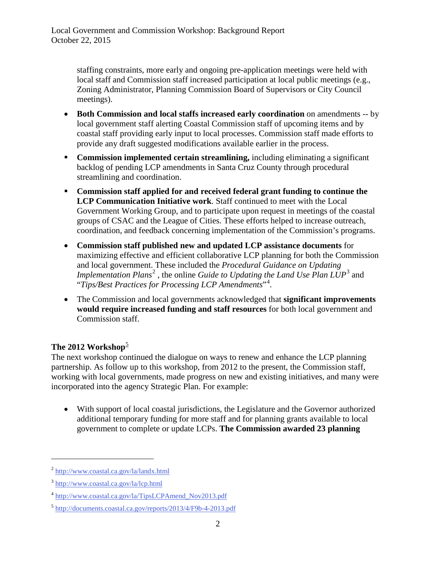staffing constraints, more early and ongoing pre-application meetings were held with local staff and Commission staff increased participation at local public meetings (e.g., Zoning Administrator, Planning Commission Board of Supervisors or City Council meetings).

- **Both Commission and local staffs increased early coordination** on amendments -- by local government staff alerting Coastal Commission staff of upcoming items and by coastal staff providing early input to local processes. Commission staff made efforts to provide any draft suggested modifications available earlier in the process.
- **Commission implemented certain streamlining, including eliminating a significant** backlog of pending LCP amendments in Santa Cruz County through procedural streamlining and coordination.
- **Commission staff applied for and received federal grant funding to continue the LCP Communication Initiative work**. Staff continued to meet with the Local Government Working Group, and to participate upon request in meetings of the coastal groups of CSAC and the League of Cities. These efforts helped to increase outreach, coordination, and feedback concerning implementation of the Commission's programs.
- **Commission staff published new and updated LCP assistance documents** for maximizing effective and efficient collaborative LCP planning for both the Commission and local government. These included the *Procedural Guidance on Updating Implementation Plans*<sup>[2](#page-1-0)</sup>, the online *Guide to Updating the Land Use Plan LUP*<sup>[3](#page-1-1)</sup> and "*Tips/Best Practices for Processing LCP Amendments*"[4](#page-1-2) .
- The Commission and local governments acknowledged that **significant improvements would require increased funding and staff resources** for both local government and Commission staff.

### The 2012 Workshop<sup>[5](#page-1-3)</sup>

The next workshop continued the dialogue on ways to renew and enhance the LCP planning partnership. As follow up to this workshop, from 2012 to the present, the Commission staff, working with local governments, made progress on new and existing initiatives, and many were incorporated into the agency Strategic Plan. For example:

• With support of local coastal jurisdictions, the Legislature and the Governor authorized additional temporary funding for more staff and for planning grants available to local government to complete or update LCPs. **The Commission awarded 23 planning** 

 $\overline{a}$ 

<span id="page-1-0"></span><sup>2</sup> <http://www.coastal.ca.gov/la/landx.html>

<span id="page-1-1"></span><sup>3</sup> <http://www.coastal.ca.gov/la/lcp.html>

<span id="page-1-2"></span><sup>4</sup> [http://www.coastal.ca.gov/la/TipsLCPAmend\\_Nov2013.pdf](http://www.coastal.ca.gov/la/TipsLCPAmend_Nov2013.pdf) 

<span id="page-1-3"></span><sup>5</sup> <http://documents.coastal.ca.gov/reports/2013/4/F9b-4-2013.pdf>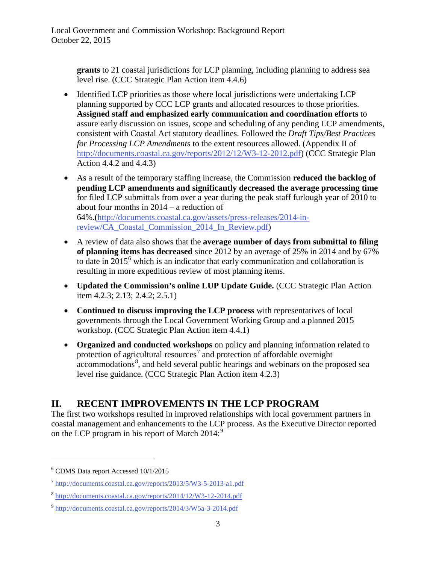**grants** to 21 coastal jurisdictions for LCP planning, including planning to address sea level rise. (CCC Strategic Plan Action item 4.4.6)

- Identified LCP priorities as those where local jurisdictions were undertaking LCP planning supported by CCC LCP grants and allocated resources to those priorities. **Assigned staff and emphasized early communication and coordination efforts** to assure early discussion on issues, scope and scheduling of any pending LCP amendments, consistent with Coastal Act statutory deadlines. Followed the *Draft Tips/Best Practices for Processing LCP Amendments* to the extent resources allowed. (Appendix II of [http://documents.coastal.ca.gov/reports/2012/12/W3-12-2012.pdf\)](http://documents.coastal.ca.gov/reports/2012/12/W3-12-2012.pdf) (CCC Strategic Plan Action 4.4.2 and 4.4.3)
- As a result of the temporary staffing increase, the Commission **reduced the backlog of pending LCP amendments and significantly decreased the average processing time** for filed LCP submittals from over a year during the peak staff furlough year of 2010 to about four months in 2014 – a reduction of 64%.[\(http://documents.coastal.ca.gov/assets/press-releases/2014-in](http://documents.coastal.ca.gov/assets/press-releases/2014-in-review/CA_Coastal_Commission_2014_In_Review.pdf)[review/CA\\_Coastal\\_Commission\\_2014\\_In\\_Review.pdf\)](http://documents.coastal.ca.gov/assets/press-releases/2014-in-review/CA_Coastal_Commission_2014_In_Review.pdf)
- A review of data also shows that the **average number of days from submittal to filing of planning items has decreased** since 2012 by an average of 25% in 2014 and by 67% to date in  $2015^6$  $2015^6$  which is an indicator that early communication and collaboration is resulting in more expeditious review of most planning items.
- **Updated the Commission's online LUP Update Guide.** (CCC Strategic Plan Action item 4.2.3; 2.13; 2.4.2; 2.5.1)
- **Continued to discuss improving the LCP process** with representatives of local governments through the Local Government Working Group and a planned 2015 workshop. (CCC Strategic Plan Action item 4.4.1)
- **Organized and conducted workshops** on policy and planning information related to protection of agricultural resources<sup>[7](#page-2-2)</sup> and protection of affordable overnight accommodations<sup>[8](#page-2-3)</sup>, and held several public hearings and webinars on the proposed sea level rise guidance. (CCC Strategic Plan Action item 4.2.3)

### <span id="page-2-0"></span>**II. RECENT IMPROVEMENTS IN THE LCP PROGRAM**

The first two workshops resulted in improved relationships with local government partners in coastal management and enhancements to the LCP process. As the Executive Director reported on the LCP program in his report of March 2014:<sup>[9](#page-2-4)</sup>

 $\overline{a}$ 

<span id="page-2-1"></span><sup>6</sup> CDMS Data report Accessed 10/1/2015

 $^7$  http://documents.coastal.ca.gov/reports/2013/5/W3-5-2013-a1.pdf

<span id="page-2-3"></span><span id="page-2-2"></span><sup>8</sup> <http://documents.coastal.ca.gov/reports/2014/12/W3-12-2014.pdf>

<span id="page-2-4"></span><sup>9</sup> <http://documents.coastal.ca.gov/reports/2014/3/W5a-3-2014.pdf>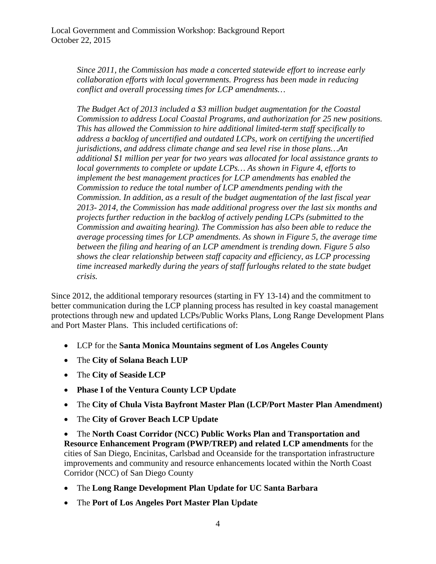*Since 2011, the Commission has made a concerted statewide effort to increase early collaboration efforts with local governments. Progress has been made in reducing conflict and overall processing times for LCP amendments…* 

*The Budget Act of 2013 included a \$3 million budget augmentation for the Coastal Commission to address Local Coastal Programs, and authorization for 25 new positions. This has allowed the Commission to hire additional limited-term staff specifically to address a backlog of uncertified and outdated LCPs, work on certifying the uncertified jurisdictions, and address climate change and sea level rise in those plans…An additional \$1 million per year for two years was allocated for local assistance grants to local governments to complete or update LCPs... As shown in Figure 4, efforts to implement the best management practices for LCP amendments has enabled the Commission to reduce the total number of LCP amendments pending with the Commission. In addition, as a result of the budget augmentation of the last fiscal year 2013- 2014, the Commission has made additional progress over the last six months and projects further reduction in the backlog of actively pending LCPs (submitted to the Commission and awaiting hearing). The Commission has also been able to reduce the average processing times for LCP amendments. As shown in Figure 5, the average time between the filing and hearing of an LCP amendment is trending down. Figure 5 also shows the clear relationship between staff capacity and efficiency, as LCP processing time increased markedly during the years of staff furloughs related to the state budget crisis.* 

Since 2012, the additional temporary resources (starting in FY 13-14) and the commitment to better communication during the LCP planning process has resulted in key coastal management protections through new and updated LCPs/Public Works Plans, Long Range Development Plans and Port Master Plans. This included certifications of:

- LCP for the **Santa Monica Mountains segment of Los Angeles County**
- The **City of Solana Beach LUP**
- The **City of Seaside LCP**
- **Phase I of the Ventura County LCP Update**
- The **City of Chula Vista Bayfront Master Plan (LCP/Port Master Plan Amendment)**
- The **City of Grover Beach LCP Update**

• The **North Coast Corridor (NCC) Public Works Plan and Transportation and Resource Enhancement Program (PWP/TREP) and related LCP amendments** for the cities of San Diego, Encinitas, Carlsbad and Oceanside for the transportation infrastructure improvements and community and resource enhancements located within the North Coast Corridor (NCC) of San Diego County

- The **Long Range Development Plan Update for UC Santa Barbara**
- The **Port of Los Angeles Port Master Plan Update**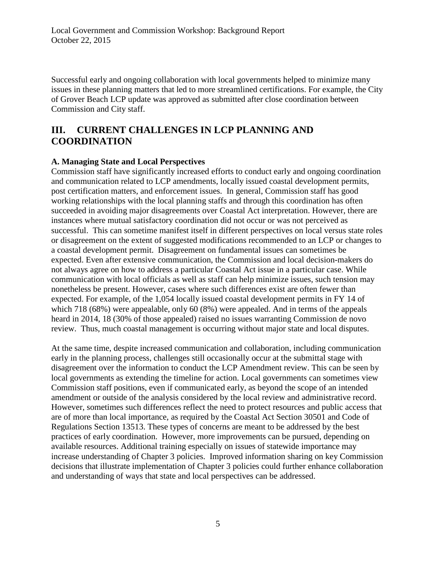Successful early and ongoing collaboration with local governments helped to minimize many issues in these planning matters that led to more streamlined certifications. For example, the City of Grover Beach LCP update was approved as submitted after close coordination between Commission and City staff.

### <span id="page-4-0"></span>**III. CURRENT CHALLENGES IN LCP PLANNING AND COORDINATION**

#### **A. Managing State and Local Perspectives**

Commission staff have significantly increased efforts to conduct early and ongoing coordination and communication related to LCP amendments, locally issued coastal development permits, post certification matters, and enforcement issues. In general, Commission staff has good working relationships with the local planning staffs and through this coordination has often succeeded in avoiding major disagreements over Coastal Act interpretation. However, there are instances where mutual satisfactory coordination did not occur or was not perceived as successful. This can sometime manifest itself in different perspectives on local versus state roles or disagreement on the extent of suggested modifications recommended to an LCP or changes to a coastal development permit. Disagreement on fundamental issues can sometimes be expected. Even after extensive communication, the Commission and local decision-makers do not always agree on how to address a particular Coastal Act issue in a particular case. While communication with local officials as well as staff can help minimize issues, such tension may nonetheless be present. However, cases where such differences exist are often fewer than expected. For example, of the 1,054 locally issued coastal development permits in FY 14 of which 718 (68%) were appealable, only 60 (8%) were appealed. And in terms of the appeals heard in 2014, 18 (30% of those appealed) raised no issues warranting Commission de novo review. Thus, much coastal management is occurring without major state and local disputes.

At the same time, despite increased communication and collaboration, including communication early in the planning process, challenges still occasionally occur at the submittal stage with disagreement over the information to conduct the LCP Amendment review. This can be seen by local governments as extending the timeline for action. Local governments can sometimes view Commission staff positions, even if communicated early, as beyond the scope of an intended amendment or outside of the analysis considered by the local review and administrative record. However, sometimes such differences reflect the need to protect resources and public access that are of more than local importance, as required by the Coastal Act Section 30501 and Code of Regulations Section 13513. These types of concerns are meant to be addressed by the best practices of early coordination. However, more improvements can be pursued, depending on available resources. Additional training especially on issues of statewide importance may increase understanding of Chapter 3 policies. Improved information sharing on key Commission decisions that illustrate implementation of Chapter 3 policies could further enhance collaboration and understanding of ways that state and local perspectives can be addressed.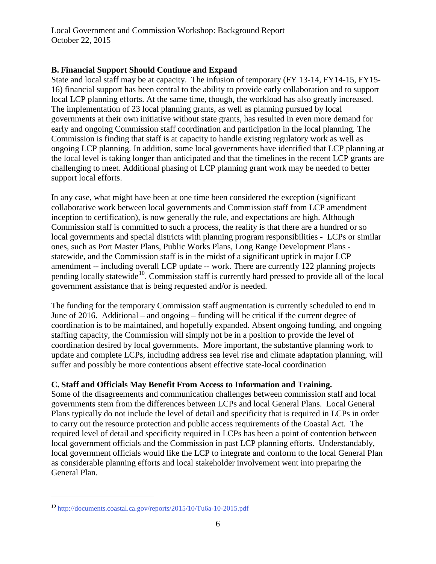### **B. Financial Support Should Continue and Expand**

State and local staff may be at capacity. The infusion of temporary (FY 13-14, FY14-15, FY15- 16) financial support has been central to the ability to provide early collaboration and to support local LCP planning efforts. At the same time, though, the workload has also greatly increased. The implementation of 23 local planning grants, as well as planning pursued by local governments at their own initiative without state grants, has resulted in even more demand for early and ongoing Commission staff coordination and participation in the local planning. The Commission is finding that staff is at capacity to handle existing regulatory work as well as ongoing LCP planning. In addition, some local governments have identified that LCP planning at the local level is taking longer than anticipated and that the timelines in the recent LCP grants are challenging to meet. Additional phasing of LCP planning grant work may be needed to better support local efforts.

In any case, what might have been at one time been considered the exception (significant collaborative work between local governments and Commission staff from LCP amendment inception to certification), is now generally the rule, and expectations are high. Although Commission staff is committed to such a process, the reality is that there are a hundred or so local governments and special districts with planning program responsibilities - LCPs or similar ones, such as Port Master Plans, Public Works Plans, Long Range Development Plans statewide, and the Commission staff is in the midst of a significant uptick in major LCP amendment -- including overall LCP update -- work. There are currently 122 planning projects pending locally statewide<sup>[10](#page-5-0)</sup>. Commission staff is currently hard pressed to provide all of the local government assistance that is being requested and/or is needed.

The funding for the temporary Commission staff augmentation is currently scheduled to end in June of 2016. Additional – and ongoing – funding will be critical if the current degree of coordination is to be maintained, and hopefully expanded. Absent ongoing funding, and ongoing staffing capacity, the Commission will simply not be in a position to provide the level of coordination desired by local governments. More important, the substantive planning work to update and complete LCPs, including address sea level rise and climate adaptation planning, will suffer and possibly be more contentious absent effective state-local coordination

### **C. Staff and Officials May Benefit From Access to Information and Training.**

Some of the disagreements and communication challenges between commission staff and local governments stem from the differences between LCPs and local General Plans. Local General Plans typically do not include the level of detail and specificity that is required in LCPs in order to carry out the resource protection and public access requirements of the Coastal Act. The required level of detail and specificity required in LCPs has been a point of contention between local government officials and the Commission in past LCP planning efforts. Understandably, local government officials would like the LCP to integrate and conform to the local General Plan as considerable planning efforts and local stakeholder involvement went into preparing the General Plan.

 $\overline{a}$ 

<span id="page-5-0"></span><sup>10</sup> <http://documents.coastal.ca.gov/reports/2015/10/Tu6a-10-2015.pdf>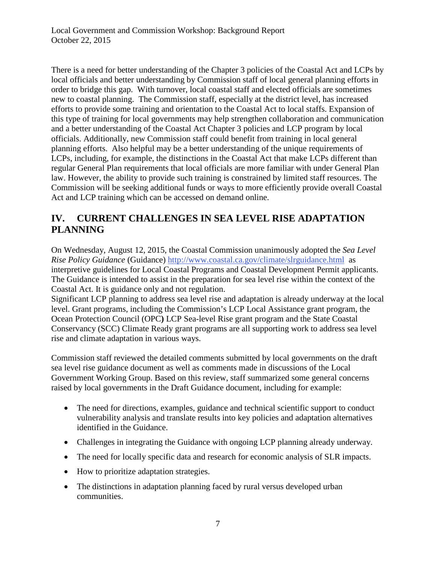There is a need for better understanding of the Chapter 3 policies of the Coastal Act and LCPs by local officials and better understanding by Commission staff of local general planning efforts in order to bridge this gap. With turnover, local coastal staff and elected officials are sometimes new to coastal planning. The Commission staff, especially at the district level, has increased efforts to provide some training and orientation to the Coastal Act to local staffs. Expansion of this type of training for local governments may help strengthen collaboration and communication and a better understanding of the Coastal Act Chapter 3 policies and LCP program by local officials. Additionally, new Commission staff could benefit from training in local general planning efforts. Also helpful may be a better understanding of the unique requirements of LCPs, including, for example, the distinctions in the Coastal Act that make LCPs different than regular General Plan requirements that local officials are more familiar with under General Plan law. However, the ability to provide such training is constrained by limited staff resources. The Commission will be seeking additional funds or ways to more efficiently provide overall Coastal Act and LCP training which can be accessed on demand online.

### <span id="page-6-0"></span>**IV. CURRENT CHALLENGES IN SEA LEVEL RISE ADAPTATION PLANNING**

On Wednesday, August 12, 2015, the Coastal Commission unanimously adopted the *Sea Level Rise Policy Guidance* (Guidance) <http://www.coastal.ca.gov/climate/slrguidance.html>as interpretive guidelines for Local Coastal Programs and Coastal Development Permit applicants. The Guidance is intended to assist in the preparation for sea level rise within the context of the Coastal Act. It is guidance only and not regulation.

Significant LCP planning to address sea level rise and adaptation is already underway at the local level. Grant programs, including the Commission's LCP Local Assistance grant program, the Ocean Protection Council (OPC**)** LCP Sea-level Rise grant program and the State Coastal Conservancy (SCC) Climate Ready grant programs are all supporting work to address sea level rise and climate adaptation in various ways.

Commission staff reviewed the detailed comments submitted by local governments on the draft sea level rise guidance document as well as comments made in discussions of the Local Government Working Group. Based on this review, staff summarized some general concerns raised by local governments in the Draft Guidance document, including for example:

- The need for directions, examples, guidance and technical scientific support to conduct vulnerability analysis and translate results into key policies and adaptation alternatives identified in the Guidance.
- Challenges in integrating the Guidance with ongoing LCP planning already underway.
- The need for locally specific data and research for economic analysis of SLR impacts.
- How to prioritize adaptation strategies.
- The distinctions in adaptation planning faced by rural versus developed urban communities.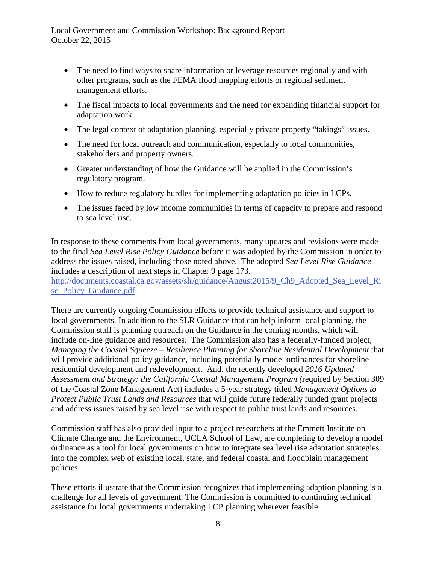- The need to find ways to share information or leverage resources regionally and with other programs, such as the FEMA flood mapping efforts or regional sediment management efforts.
- The fiscal impacts to local governments and the need for expanding financial support for adaptation work.
- The legal context of adaptation planning, especially private property "takings" issues.
- The need for local outreach and communication, especially to local communities, stakeholders and property owners.
- Greater understanding of how the Guidance will be applied in the Commission's regulatory program.
- How to reduce regulatory hurdles for implementing adaptation policies in LCPs.
- The issues faced by low income communities in terms of capacity to prepare and respond to sea level rise.

In response to these comments from local governments, many updates and revisions were made to the final *Sea Level Rise Policy Guidance* before it was adopted by the Commission in order to address the issues raised, including those noted above. The adopted *Sea Level Rise Guidance* includes a description of next steps in Chapter 9 page 173.

[http://documents.coastal.ca.gov/assets/slr/guidance/August2015/9\\_Ch9\\_Adopted\\_Sea\\_Level\\_Ri](http://documents.coastal.ca.gov/assets/slr/guidance/August2015/9_Ch9_Adopted_Sea_Level_Rise_Policy_Guidance.pdf) [se\\_Policy\\_Guidance.pdf](http://documents.coastal.ca.gov/assets/slr/guidance/August2015/9_Ch9_Adopted_Sea_Level_Rise_Policy_Guidance.pdf) 

There are currently ongoing Commission efforts to provide technical assistance and support to local governments. In addition to the SLR Guidance that can help inform local planning, the Commission staff is planning outreach on the Guidance in the coming months, which will include on-line guidance and resources. The Commission also has a federally-funded project, *Managing the Coastal Squeeze – Resilience Planning for Shoreline Residential Development that* will provide additional policy guidance, including potentially model ordinances for shoreline residential development and redevelopment. And, the recently developed *2016 Updated Assessment and Strategy: the California Coastal Management Program (*required by Section 309 of the Coastal Zone Management Act) includes a 5-year strategy titled *Management Options to Protect Public Trust Lands and Resources* that will guide future federally funded grant projects and address issues raised by sea level rise with respect to public trust lands and resources.

Commission staff has also provided input to a project researchers at the Emmett Institute on Climate Change and the Environment, UCLA School of Law, are completing to develop a model ordinance as a tool for local governments on how to integrate sea level rise adaptation strategies into the complex web of existing local, state, and federal coastal and floodplain management policies.

These efforts illustrate that the Commission recognizes that implementing adaption planning is a challenge for all levels of government. The Commission is committed to continuing technical assistance for local governments undertaking LCP planning wherever feasible.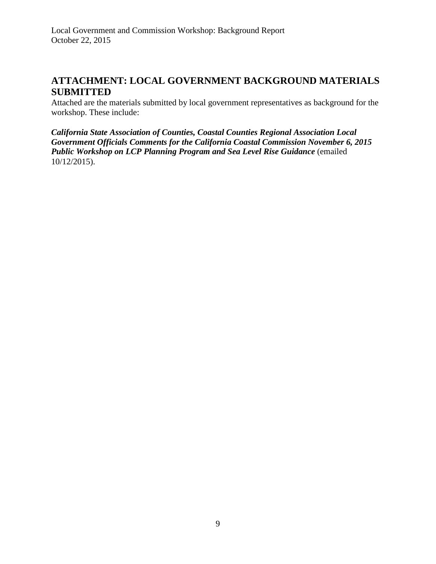### <span id="page-8-0"></span>**ATTACHMENT: LOCAL GOVERNMENT BACKGROUND MATERIALS SUBMITTED**

Attached are the materials submitted by local government representatives as background for the workshop. These include:

*California State Association of Counties, Coastal Counties Regional Association Local Government Officials Comments for the California Coastal Commission November 6, 2015 Public Workshop on LCP Planning Program and Sea Level Rise Guidance* (emailed 10/12/2015).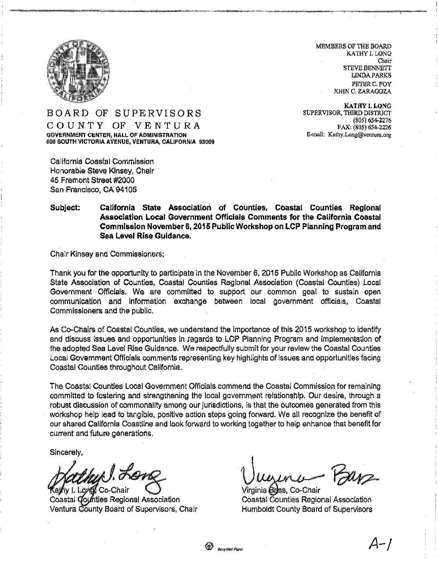

MEMBERS OF THE BOARD KATHY I. LONG Chair **STEVE BENNETT LINDA PARKS** PETER C. FOY JOHN C. ZARAGOZA

KATHY I. LONG SUPERVISOR, THIRD DISTRICT (805) 654-2276 FAX: (805) 654-2226 E-mail: Kathy.Long@ventum.org

#### BOARD OF SUPERVISORS COUNTY OF VENTURA **GOVERNMENT CENTER, HALL OF ADMINISTRATION** 600 SOUTH VICTORIA AVENUE, VENTURA, CALIFORNIA 93009

California Coastal Commission Honorable Steve Kinsey, Chair 45 Fremont Street #2000 San Francisco, CA 94105

#### California State Association of Counties. Coastal Counties Regional Subject: Association Local Government Officials Comments for the California Coastal Commission November 6, 2015 Public Workshop on LCP Planning Program and Sea Level Rise Guidance.

Chair Kinsey and Commissioners;

Thank you for the opportunity to participate in the November 6, 2015 Public Workshop as California State Association of Counties, Coastal Counties Regional Association (Coastal Counties) Local Government Officials. We are committed to support our common goal to sustain open communication and information exchange between local government officials, Coastal Commissioners and the public.

As Co-Chairs of Coastal Counties, we understand the importance of this 2015 workshop to identify and discuss issues and opportunities in regards to LCP Planning Program and implementation of the adopted Sea Level Rise Guidance. We respectfully submit for your review the Coastal Counties Local Government Officials comments representing key highlights of issues and opportunities facing Coastal Counties throughout California.

The Coastal Countles Local Government Officials commend the Coastal Commission for remaining committed to fostering and strengthening the local government relationship. Our desire, through a robust discussion of commonality among our jurisdictions, is that the outcomes generated from this workshop help lead to tangible, positive action steps going forward. We all recognize the benefit of our shared California Coastline and look forward to working together to help enhance that benefit for current and future generations.

69

**Hervelad Pape** 

Sincerely,

bul Royk v I. Lond Co-Chair

Coastal Counties Regional Association Ventura County Board of Supervisors, Chair

Parz Virgínia Boss, Co-Chair

Coastal Counties Regional Association **Humboldt County Board of Supervisors**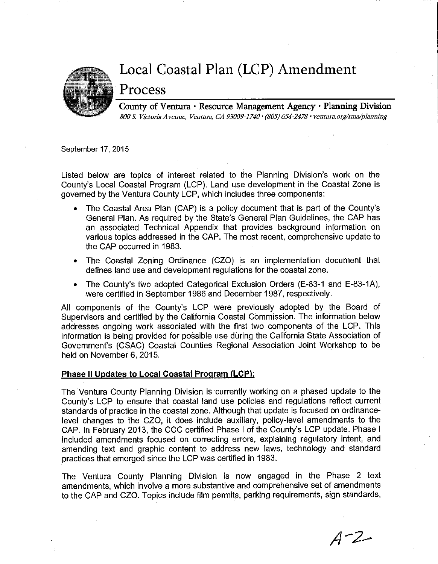

## Local Coastal Plan (LCP) Amendment

## Process

County of Ventura · Resource Management Agency · Planning Division 800 S. Victoria Avenue, Ventura, CA 93009-1740 · (805) 654-2478 · ventura.org/rma/planning

September 17, 2015

Listed below are topics of interest related to the Planning Division's work on the County's Local Coastal Program (LCP). Land use development in the Coastal Zone is aoverned by the Ventura County LCP, which includes three components:

- The Coastal Area Plan (CAP) is a policy document that is part of the County's General Plan. As required by the State's General Plan Guidelines, the CAP has an associated Technical Appendix that provides background information on various topics addressed in the CAP. The most recent, comprehensive update to the CAP occurred in 1983.
- The Coastal Zoning Ordinance (CZO) is an implementation document that defines land use and development regulations for the coastal zone.
- The County's two adopted Categorical Exclusion Orders (E-83-1 and E-83-1A),  $\bullet$ were certified in September 1986 and December 1987, respectively.

All components of the County's LCP were previously adopted by the Board of Supervisors and certified by the California Coastal Commission. The information below addresses ongoing work associated with the first two components of the LCP. This information is being provided for possible use during the California State Association of Government's (CSAC) Coastal Counties Regional Association Joint Workshop to be held on November 6, 2015.

#### Phase II Updates to Local Coastal Program (LCP):

The Ventura County Planning Division is currently working on a phased update to the County's LCP to ensure that coastal land use policies and regulations reflect current standards of practice in the coastal zone. Although that update is focused on ordinancelevel changes to the CZO, it does include auxiliary, policy-level amendments to the CAP. In February 2013, the CCC certified Phase I of the County's LCP update. Phase I included amendments focused on correcting errors, explaining regulatory intent, and amending text and graphic content to address new laws, technology and standard practices that emerged since the LCP was certified in 1983.

The Ventura County Planning Division is now engaged in the Phase 2 text amendments, which involve a more substantive and comprehensive set of amendments to the CAP and CZO. Topics include film permits, parking requirements, sign standards,

 $A - Z -$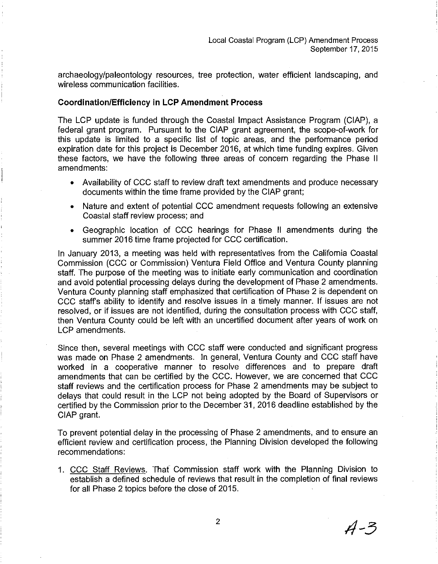archaeology/paleontology resources, tree protection, water efficient landscaping, and wireless communication facilities.

#### **Coordination/Efficiency in LCP Amendment Process**

The LCP update is funded through the Coastal Impact Assistance Program (CIAP), a federal grant program. Pursuant to the CIAP grant agreement, the scope-of-work for this update is limited to a specific list of topic areas, and the performance period expiration date for this project is December 2016, at which time funding expires. Given these factors, we have the following three areas of concern regarding the Phase II amendments:

- Availability of CCC staff to review draft text amendments and produce necessary documents within the time frame provided by the CIAP grant;
- Nature and extent of potential CCC amendment requests following an extensive Coastal staff review process; and
- Geographic location of CCC hearings for Phase II amendments during the summer 2016 time frame projected for CCC certification.

In January 2013, a meeting was held with representatives from the California Coastal Commission (CCC or Commission) Ventura Field Office and Ventura County planning staff. The purpose of the meeting was to initiate early communication and coordination and avoid potential processing delays during the development of Phase 2 amendments. Ventura County planning staff emphasized that certification of Phase 2 is dependent on CCC staff's ability to identify and resolve issues in a timely manner. If issues are not resolved, or if issues are not identified, during the consultation process with CCC staff, then Ventura County could be left with an uncertified document after years of work on LCP amendments.

Since then, several meetings with CCC staff were conducted and significant progress was made on Phase 2 amendments. In general, Ventura County and CCC staff have worked in a cooperative manner to resolve differences and to prepare draft amendments that can be certified by the CCC. However, we are concerned that CCC staff reviews and the certification process for Phase 2 amendments may be subject to delays that could result in the LCP not being adopted by the Board of Supervisors or certified by the Commission prior to the December 31, 2016 deadline established by the CIAP grant.

To prevent potential delay in the processing of Phase 2 amendments, and to ensure an efficient review and certification process, the Planning Division developed the following recommendations:

1. CCC Staff Reviews. That Commission staff work with the Planning Division to establish a defined schedule of reviews that result in the completion of final reviews for all Phase 2 topics before the close of 2015.

 $A - 3$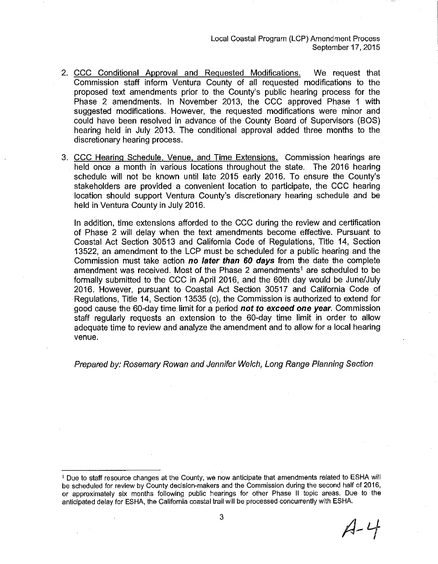Local Coastal Program (LCP) Amendment Process September 17, 2015

- 2. CCC Conditional Approval and Requested Modifications. We request that Commission staff inform Ventura County of all requested modifications to the proposed text amendments prior to the County's public hearing process for the Phase 2 amendments. In November 2013, the CCC approved Phase 1 with suggested modifications. However, the requested modifications were minor and could have been resolved in advance of the County Board of Supervisors (BOS) hearing held in July 2013. The conditional approval added three months to the discretionary hearing process.
- 3. CCC Hearing Schedule, Venue, and Time Extensions. Commission hearings are held once a month in various locations throughout the state. The 2016 hearing schedule will not be known until late 2015 early 2016. To ensure the County's stakeholders are provided a convenient location to participate, the CCC hearing location should support Ventura County's discretionary hearing schedule and be held in Ventura County in July 2016.

In addition, time extensions afforded to the CCC during the review and certification of Phase 2 will delay when the text amendments become effective. Pursuant to Coastal Act Section 30513 and California Code of Regulations, Title 14, Section 13522, an amendment to the LCP must be scheduled for a public hearing and the Commission must take action no later than 60 days from the date the complete amendment was received. Most of the Phase 2 amendments<sup>1</sup> are scheduled to be formally submitted to the CCC in April 2016, and the 60th day would be June/July 2016. However, pursuant to Coastal Act Section 30517 and California Code of Regulations, Title 14, Section 13535 (c), the Commission is authorized to extend for good cause the 60-day time limit for a period not to exceed one year. Commission staff regularly requests an extension to the 60-day time limit in order to allow adequate time to review and analyze the amendment and to allow for a local hearing venue.

Prepared by: Rosemary Rowan and Jennifer Welch, Long Range Planning Section

 $A - 4$ 

<sup>&</sup>lt;sup>1</sup> Due to staff resource changes at the County, we now anticipate that amendments related to ESHA will be scheduled for review by County decision-makers and the Commission during the second half of 2016, or approximately six months following public hearings for other Phase II topic areas. Due to the anticipated delay for ESHA, the California coastal trail will be processed concurrently with ESHA.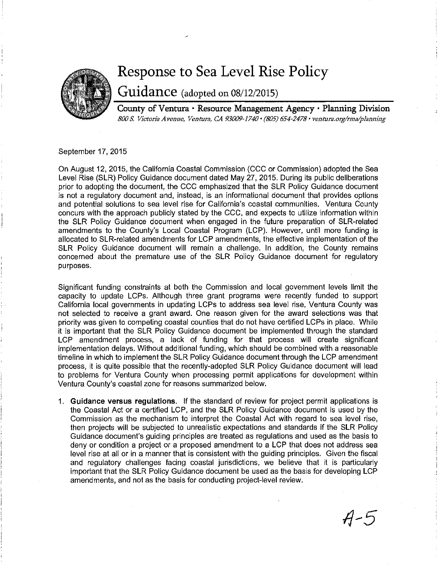

# Response to Sea Level Rise Policy

Guidance (adopted on 08/12/2015)

County of Ventura · Resource Management Agency · Planning Division 800 S. Victoria Avenue, Ventura, CA 93009-1740 · (805) 654-2478 · ventura.org/rma/planning

September 17, 2015

On August 12, 2015, the California Coastal Commission (CCC or Commission) adopted the Sea Level Rise (SLR) Policy Guidance document dated May 27, 2015. During its public deliberations prior to adopting the document, the CCC emphasized that the SLR Policy Guidance document is not a regulatory document and, instead, is an informational document that provides options and potential solutions to sea level rise for California's coastal communities. Ventura County concurs with the approach publicly stated by the CCC, and expects to utilize information within the SLR Policy Guidance document when engaged in the future preparation of SLR-related amendments to the County's Local Coastal Program (LCP). However, until more funding is allocated to SLR-related amendments for LCP amendments, the effective implementation of the SLR Policy Guidance document will remain a challenge. In addition, the County remains concerned about the premature use of the SLR Policy Guidance document for regulatory purposes.

Significant funding constraints at both the Commission and local government levels limit the capacity to update LCPs. Although three grant programs were recently funded to support California local governments in updating LCPs to address sea level rise, Ventura County was not selected to receive a grant award. One reason given for the award selections was that priority was given to competing coastal counties that do not have certified LCPs in place. While it is important that the SLR Policy Guidance document be implemented through the standard LCP amendment process, a lack of funding for that process will create significant implementation delays. Without additional funding, which should be combined with a reasonable timeline in which to implement the SLR Policy Guidance document through the LCP amendment process, it is quite possible that the recently-adopted SLR Policy Guidance document will lead to problems for Ventura County when processing permit applications for development within Ventura County's coastal zone for reasons summarized below.

1. Guidance versus regulations. If the standard of review for project permit applications is the Coastal Act or a certified LCP, and the SLR Policy Guidance document is used by the Commission as the mechanism to interpret the Coastal Act with regard to sea level rise, then projects will be subjected to unrealistic expectations and standards if the SLR Policy Guidance document's guiding principles are treated as regulations and used as the basis to deny or condition a project or a proposed amendment to a LCP that does not address sea level rise at all or in a manner that is consistent with the guiding principles. Given the fiscal and requiatory challenges facing coastal jurisdictions, we believe that it is particularly important that the SLR Policy Guidance document be used as the basis for developing LCP amendments, and not as the basis for conducting project-level review.

 $A - 5$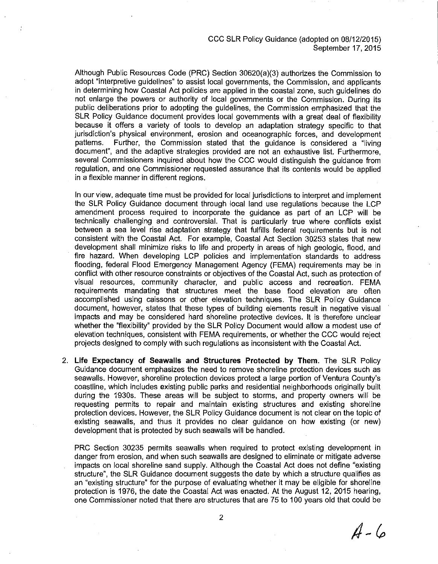#### CCC SLR Policy Guidance (adopted on 08/12/2015) September 17, 2015

Although Public Resources Code (PRC) Section 30620(a)(3) authorizes the Commission to adopt "interpretive quidelines" to assist local governments, the Commission, and applicants in determining how Coastal Act policies are applied in the coastal zone, such guidelines do not enlarge the powers or authority of local governments or the Commission. During its public deliberations prior to adopting the guidelines, the Commission emphasized that the SLR Policy Guidance document provides local governments with a great deal of flexibility because it offers a variety of tools to develop an adaptation strategy specific to that jurisdiction's physical environment, erosion and oceanographic forces, and development patterns. Further, the Commission stated that the quidance is considered a "living" document", and the adaptive strategies provided are not an exhaustive list. Furthermore. several Commissioners inquired about how the CCC would distinguish the guidance from regulation, and one Commissioner requested assurance that its contents would be applied in a flexible manner in different regions.

In our view, adequate time must be provided for local jurisdictions to interpret and implement the SLR Policy Guidance document through local land use regulations because the LCP amendment process required to incorporate the quidance as part of an LCP will be technically challenging and controversial. That is particularly true where conflicts exist between a sea level rise adaptation strategy that fulfills federal requirements but is not consistent with the Coastal Act. For example, Coastal Act Section 30253 states that new development shall minimize risks to life and property in areas of high geologic, flood, and fire hazard. When developing LCP policies and implementation standards to address flooding, federal Flood Emergency Management Agency (FEMA) requirements may be in conflict with other resource constraints or objectives of the Coastal Act, such as protection of visual resources, community character, and public access and recreation. FEMA requirements mandating that structures meet the base flood elevation are often accomplished using caissons or other elevation techniques. The SLR Policy Guidance document, however, states that these types of building elements result in negative visual impacts and may be considered hard shoreline protective devices. It is therefore unclear whether the "flexibility" provided by the SLR Policy Document would allow a modest use of elevation techniques, consistent with FEMA requirements, or whether the CCC would reject projects designed to comply with such regulations as inconsistent with the Coastal Act.

2. Life Expectancy of Seawalls and Structures Protected by Them. The SLR Policy Guidance document emphasizes the need to remove shoreline protection devices such as seawalls. However, shoreline protection devices protect a large portion of Ventura County's coastline, which includes existing public parks and residential neighborhoods originally built during the 1930s. These areas will be subject to storms, and property owners will be requesting permits to repair and maintain existing structures and existing shoreline protection devices. However, the SLR Policy Guidance document is not clear on the topic of existing seawalls, and thus it provides no clear guidance on how existing (or new) development that is protected by such seawalls will be handled.

PRC Section 30235 permits seawalls when required to protect existing development in danger from erosion, and when such seawalls are designed to eliminate or mitigate adverse impacts on local shoreline sand supply. Although the Coastal Act does not define "existing structure", the SLR Guidance document suggests the date by which a structure qualifies as an "existing structure" for the purpose of evaluating whether it may be eligible for shoreline protection is 1976, the date the Coastal Act was enacted. At the August 12, 2015 hearing, one Commissioner noted that there are structures that are 75 to 100 years old that could be

 $A - 6$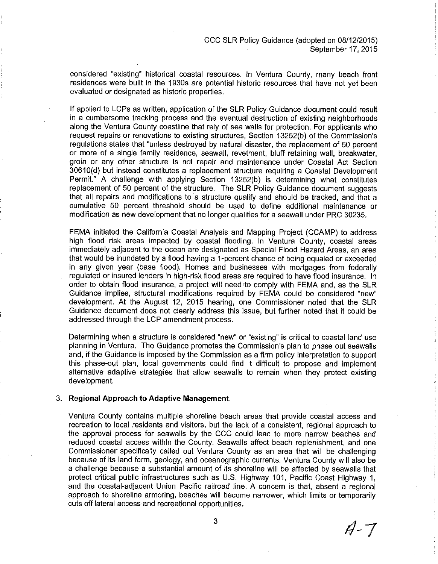considered "existing" historical coastal resources, In Ventura County, many beach front residences were built in the 1930s are potential historic resources that have not yet been evaluated or designated as historic properties.

If applied to LCPs as written, application of the SLR Policy Guidance document could result in a cumbersome tracking process and the eventual destruction of existing neighborhoods along the Ventura County coastline that rely of sea walls for protection. For applicants who request repairs or renovations to existing structures, Section 13252(b) of the Commission's regulations states that "unless destroyed by natural disaster, the replacement of 50 percent or more of a single family residence, seawall, revetment, bluff retaining wall, breakwater, groin or any other structure is not repair and maintenance under Coastal Act Section 30610(d) but instead constitutes a replacement structure requiring a Coastal Development Permit." A challenge with applying Section 13252(b) is determining what constitutes replacement of 50 percent of the structure. The SLR Policy Guidance document suggests that all repairs and modifications to a structure qualify and should be tracked, and that a cumulative 50 percent threshold should be used to define additional maintenance or modification as new development that no longer qualifies for a seawall under PRC 30235.

FEMA initiated the California Coastal Analysis and Mapping Project (CCAMP) to address high flood risk areas impacted by coastal flooding. In Ventura County, coastal areas immediately adjacent to the ocean are designated as Special Flood Hazard Areas, an area that would be inundated by a flood having a 1-percent chance of being equaled or exceeded in any given year (base flood). Homes and businesses with mortgages from federally regulated or insured lenders in high-risk flood areas are required to have flood insurance. In order to obtain flood insurance, a project will need to comply with FEMA and, as the SLR Guidance implies, structural modifications required by FEMA could be considered "new" development. At the August 12, 2015 hearing, one Commissioner noted that the SLR Guidance document does not clearly address this issue, but further noted that it could be addressed through the LCP amendment process.

Determining when a structure is considered "new" or "existing" is critical to coastal land use planning in Ventura. The Guidance promotes the Commission's plan to phase out seawalls and, if the Guidance is imposed by the Commission as a firm policy interpretation to support this phase-out plan, local governments could find it difficult to propose and implement alternative adaptive strategies that allow seawalls to remain when they protect existing development.

#### 3. Regional Approach to Adaptive Management.

Ventura County contains multiple shoreline beach areas that provide coastal access and recreation to local residents and visitors, but the lack of a consistent, regional approach to the approval process for seawalls by the CCC could lead to more narrow beaches and reduced coastal access within the County. Seawalls affect beach replenishment, and one Commissioner specifically called out Ventura County as an area that will be challenging because of its land form, geology, and oceanographic currents. Ventura County will also be a challenge because a substantial amount of its shoreline will be affected by seawalls that protect critical public infrastructures such as U.S. Highway 101, Pacific Coast Highway 1, and the coastal-adjacent Union Pacific railroad line. A concern is that, absent a regional approach to shoreline armoring, beaches will become narrower, which limits or temporarily cuts off lateral access and recreational opportunities.

 $A - T$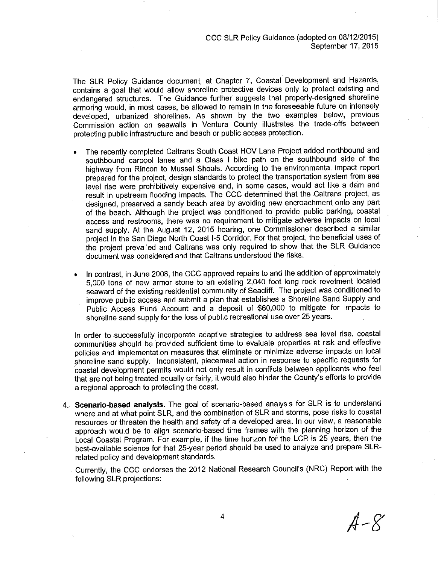CCC SLR Policy Guidance (adopted on 08/12/2015) September 17, 2015

The SLR Policy Guidance document, at Chapter 7, Coastal Development and Hazards, contains a goal that would allow shoreline protective devices only to protect existing and endangered structures. The Guidance further suggests that properly-designed shoreline armoring would, in most cases, be allowed to remain in the foreseeable future on intensely developed, urbanized shorelines. As shown by the two examples below, previous Commission action on seawalls in Ventura County illustrates the trade-offs between protecting public infrastructure and beach or public access protection.

- The recently completed Caltrans South Coast HOV Lane Project added northbound and southbound carpool lanes and a Class I bike path on the southbound side of the highway from Rincon to Mussel Shoals. According to the environmental impact report prepared for the project, design standards to protect the transportation system from sea level rise were prohibitively expensive and, in some cases, would act like a dam and result in upstream flooding impacts. The CCC determined that the Caltrans project, as designed, preserved a sandy beach area by avoiding new encroachment onto any part of the beach. Although the project was conditioned to provide public parking, coastal access and restrooms, there was no requirement to mitigate adverse impacts on local sand supply. At the August 12, 2015 hearing, one Commissioner described a similar project in the San Diego North Coast I-5 Corridor. For that project, the beneficial uses of the project prevailed and Caltrans was only required to show that the SLR Guidance document was considered and that Caltrans understood the risks.
- In contrast, in June 2008, the CCC approved repairs to and the addition of approximately 5,000 tons of new armor stone to an existing 2,040 foot long rock revetment located seaward of the existing residential community of Seacliff. The project was conditioned to improve public access and submit a plan that establishes a Shoreline Sand Supply and Public Access Fund Account and a deposit of \$60,000 to mitigate for impacts to shoreline sand supply for the loss of public recreational use over 25 years.

In order to successfully incorporate adaptive strategies to address sea level rise, coastal communities should be provided sufficient time to evaluate properties at risk and effective policies and implementation measures that eliminate or minimize adverse impacts on local shoreline sand supply. Inconsistent, piecemeal action in response to specific requests for coastal development permits would not only result in conflicts between applicants who feel that are not being treated equally or fairly, it would also hinder the County's efforts to provide a regional approach to protecting the coast.

- 4. Scenario-based analysis. The goal of scenario-based analysis for SLR is to understand where and at what point SLR, and the combination of SLR and storms, pose risks to coastal resources or threaten the health and safety of a developed area. In our view, a reasonable approach would be to align scenario-based time frames with the planning horizon of the Local Coastal Program. For example, if the time horizon for the LCP is 25 years, then the best-available science for that 25-year period should be used to analyze and prepare SLRrelated policy and development standards.
	- Currently, the CCC endorses the 2012 National Research Council's (NRC) Report with the following SLR projections:

 $A - X$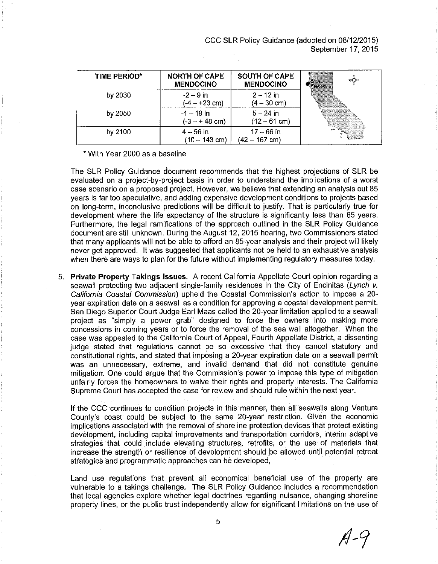CCC SLR Policy Guidance (adopted on 08/12/2015). September 17, 2015

| TIME PERIOD* | <b>NORTH OF CAPE</b><br><b>MENDOCINO</b> | <b>SOUTH OF CAPE</b><br><b>MENDOCINO</b> | <b>MARKET</b><br>apo - -<br><b>ANTAL TA MARTINA &amp; STARTING AN</b><br><b>DANSING A SEAST AT A PARTIES</b> |
|--------------|------------------------------------------|------------------------------------------|--------------------------------------------------------------------------------------------------------------|
| by 2030      | $-2 - 9$ in<br>(-4 – +23 cm)             | $2 - 12$ in<br>$(4 - 30 \text{ cm})$     | <b>Sherwich to Change County Contains</b>                                                                    |
| by 2050      | $-1 - 19$ in<br>$(-3 - + 48$ cm)         | $5 - 24$ in<br>$(12 - 61$ cm)            |                                                                                                              |
| by 2100      | $4 - 56$ in<br>$(10 - 143$ cm)           | $17 - 66$ in<br>$(42 - 167$ cm)          |                                                                                                              |

\* With Year 2000 as a baseline

The SLR Policy Guidance document recommends that the highest projections of SLR be evaluated on a project-by-project basis in order to understand the implications of a worst case scenario on a proposed project. However, we believe that extending an analysis out 85 years is far too speculative, and adding expensive development conditions to projects based on long-term, inconclusive predictions will be difficult to justify. That is particularly true for development where the life expectancy of the structure is significantly less than 85 years. Furthermore, the legal ramifications of the approach outlined in the SLR Policy Guidance document are still unknown. During the August 12, 2015 hearing, two Commissioners stated that many applicants will not be able to afford an 85-year analysis and their project will likely never get approved. It was suggested that applicants not be held to an exhaustive analysis when there are ways to plan for the future without implementing regulatory measures today.

5. Private Property Takings Issues. A recent California Appellate Court opinion regarding a seawall protecting two adjacent single-family residences in the City of Encinitas (Lynch v. California Coastal Commission) upheld the Coastal Commission's action to impose a 20year expiration date on a seawall as a condition for approving a coastal development permit. San Diego Superior Court Judge Earl Maas called the 20-year limitation applied to a seawall project as "simply a power grab" designed to force the owners into making more concessions in coming years or to force the removal of the sea wall altogether. When the case was appealed to the California Court of Appeal, Fourth Appellate District, a dissenting judge stated that regulations cannot be so excessive that they cancel statutory and constitutional rights, and stated that imposing a 20-year expiration date on a seawall permit was an unnecessary, extreme, and invalid demand that did not constitute genuine mitigation. One could argue that the Commission's power to impose this type of mitigation unfairly forces the homeowners to waive their rights and property interests. The California Supreme Court has accepted the case for review and should rule within the next year.

If the CCC continues to condition projects in this manner, then all seawalls along Ventura County's coast could be subject to the same 20-year restriction. Given the economic implications associated with the removal of shoreline protection devices that protect existing development, including capital improvements and transportation corridors, interim adaptive strategies that could include elevating structures, retrofits, or the use of materials that increase the strength or resilience of development should be allowed until potential retreat strategies and programmatic approaches can be developed,

Land use regulations that prevent all economical beneficial use of the property are vulnerable to a takings challenge. The SLR Policy Guidance includes a recommendation that local agencies explore whether legal doctrines regarding nuisance, changing shoreline property lines, or the public trust independently allow for significant limitations on the use of

 $A-9$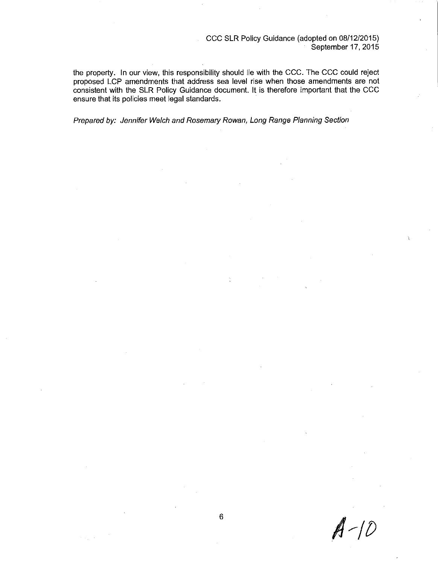#### CCC SLR Policy Guidance (adopted on 08/12/2015) September 17, 2015

the property. In our view, this responsibility should lie with the CCC. The CCC could reject proposed LCP amendments that address sea level rise when those amendments are not consistent with the SLR Policy Guidance document. It is therefore important that the CCC ensure that its policies meet legal standards.

÷.

Prepared by: Jennifer Welch and Rosemary Rowan, Long Range Planning Section

 $A-10$ 

 $\omega_{\rm{max}}=1$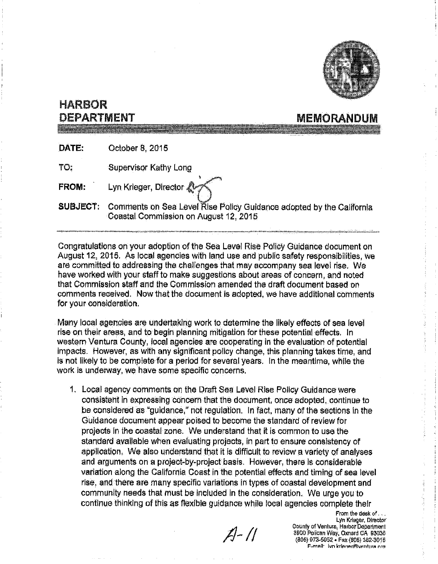

**MEMORANDUM** 

## **HARBOR** DEPARTMENT

DATE: October 8, 2015

TO: **Supervisor Kathy Long** 

Lyn Krieger, Director & **FROM:** 

**SUBJECT:** Comments on Sea Level Rise Policy Guidance adopted by the California Coastal Commission on August 12, 2015

Congratulations on your adoption of the Sea Level Rise Policy Guidance document on August 12, 2015. As local agencies with land use and public safety responsibilities, we are committed to addressing the challenges that may accompany sea level rise. We have worked with your staff to make suggestions about areas of concern, and noted that Commission staff and the Commission amended the draft document based on comments received. Now that the document is adopted, we have additional comments for your consideration.

Many local agencies are undertaking work to determine the likely effects of sea level rise on their areas, and to begin planning mitigation for these potential effects. In western Ventura County, local agencies are cooperating in the evaluation of potential impacts. However, as with any significant policy change, this planning takes time, and is not likely to be complete for a period for several years. In the meantime, while the work is underway, we have some specific concerns.

1. Local agency comments on the Draft Sea Level Rise Policy Guidance were consistent in expressing concern that the document, once adopted, continue to be considered as "guidance," not regulation. In fact, many of the sections in the Guidance document appear poised to become the standard of review for projects in the coastal zone. We understand that it is common to use the standard available when evaluating projects, in part to ensure consistency of application. We also understand that it is difficult to review a variety of analyses and arguments on a project-by-project basis. However, there is considerable variation along the California Coast in the potential effects and timing of sea level rise, and there are many specific variations in types of coastal development and community needs that must be included in the consideration. We urge you to continue thinking of this as flexible guidance while local agencies complete their

 $A - 11$ 

From the desk of Lyn Krieger, Director **County of Ventura, Harbor Department** 3900 Pelican Way, Oxnard CA 93035 (805) 973-5952 - Fax (805) 382-3015 F-mail fun kriener/niventura ora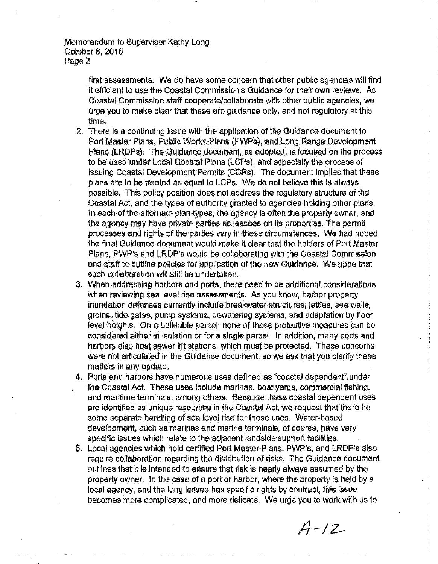Memorandum to Supervisor Kathy Long October 8, 2015 Page 2

> first assessments. We do have some concern that other public agencies will find it efficient to use the Coastal Commission's Guidance for their own reviews. As Coastal Commission staff cooperate/collaborate with other public agencies, we urge you to make clear that these are guidance only, and not regulatory at this time.

- 2. There is a continuing issue with the application of the Guidance document to Port Master Plans, Public Works Plans (PWPs), and Long Range Development Plans (LRDPs). The Guidance document, as adopted, is focused on the process to be used under Local Coastal Plans (LCPs), and especially the process of issuing Coastal Development Permits (CDPs). The document implies that these plans are to be treated as equal to LCPs. We do not believe this is always possible. This policy position does not address the requlatory structure of the Coastal Act, and the types of authority granted to agencies holding other plans. In each of the alternate plan types, the agency is often the property owner, and the agency may have private parties as lessees on its properties. The permit processes and rights of the partles vary in these circumstances. We had hoped the final Guidance document would make it clear that the holders of Port Master Plans, PWP's and LRDP's would be collaborating with the Coastal Commission and staff to outline policies for application of the new Guidance. We hope that such collaboration will still be undertaken.
- 3. When addressing harbors and ports, there need to be additional considerations when reviewing sea level rise assessments. As you know, harbor property inundation defenses currently include breakwater structures, jettles, sea walls, groins, tide gates, pump systems, dewatering systems, and adaptation by floor level heights. On a buildable parcel, none of these protective measures can be considered either in isolation or for a single parcet. In addition, many ports and harbors also host sewer lift stations, which must be protected. These concerns were not articulated in the Guidance document, so we ask that you clarify these matters in any update.
- 4. Ports and harbors have numerous uses defined as "coastal dependent" under the Coastal Act. These uses include marinas, boat vards, commercial fishing, and maritime terminals, among others. Because these coastal dependent uses are identified as unique resources in the Coastal Act, we request that there be some separate handling of sea level rise for these uses. Water-based development, such as marinas and marine terminals, of course, have very specific issues which relate to the adjacent landside support facilities.
- 5. Local agencies which hold certified Port Master Plans, PWP's, and LRDP's also require collaboration regarding the distribution of risks. The Guidance document outlines that it is intended to ensure that risk is nearly always assumed by the property owner. In the case of a port or harbor, where the property is held by a local agency, and the long lessee has specific rights by contract, this issue becomes more complicated, and more delicate. We urge you to work with us to

 $A - 12$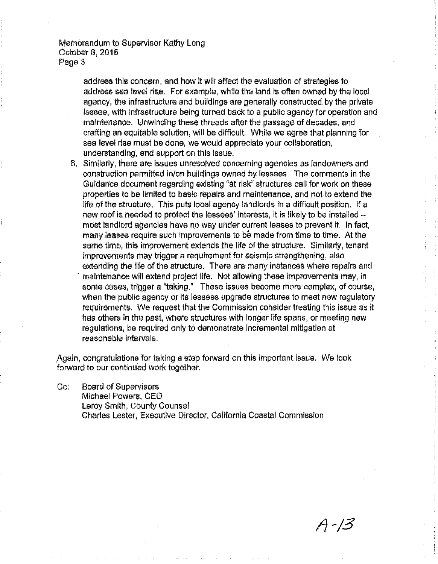Memorandum to Supervisor Kathy Long October 8, 2015 Page 3

> address this concern, and how it will affect the evaluation of strategies to address sea level rise. For example, while the land is often owned by the local agency, the infrastructure and buildings are generally constructed by the private lessee, with infrastructure being turned back to a public agency for operation and maintenance. Unwinding these threads after the passage of decades, and crafting an equitable solution, will be difficult. While we agree that planning for sea level rise must be done, we would appreciate your collaboration, understanding, and support on this issue.

6. Similarly, there are issues unresolved concerning agencies as landowners and construction permitted in/on buildings owned by lessees. The comments in the Guidance document regarding existing "at risk" structures call for work on these properties to be limited to basic repairs and maintenance, and not to extend the life of the structure. This puts local agency landlords in a difficult position. If a new roof is needed to protect the lessees' interests, it is likely to be installed most landlord agencies have no way under current leases to prevent it. In fact, many leases require such improvements to be made from time to time. At the same time, this improvement extends the life of the structure. Similarly, tenant improvements may trigger a regulrement for seismic strengthening, also extending the life of the structure. There are many instances where repairs and maintenance will extend project life. Not allowing these improvements may, in some cases, trigger a "taking." These issues become more complex, of course, when the public agency or its lessees upgrade structures to meet new regulatory requirements. We request that the Commission consider treating this issue as it has others in the past, where structures with longer life spans, or meeting new regulations, be required only to demonstrate incremental mitigation at reasonable intervals.

Again, congratulations for taking a step forward on this important issue. We look forward to our continued work together.

**Board of Supervisors**  $\mathsf{Cc}$ Michael Powers, CEO Leroy Smith, County Counsel Charles Lester, Executive Director, California Coastal Commission

A - 13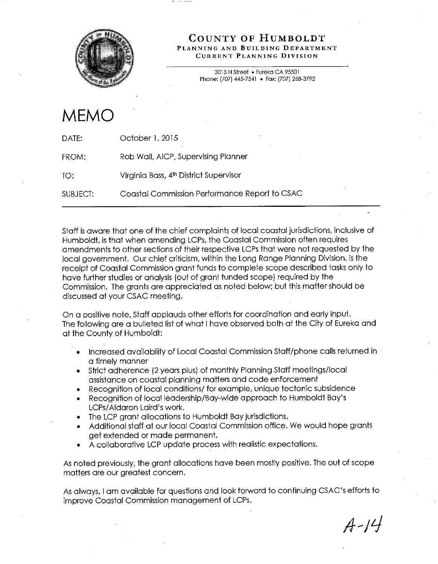

#### COUNTY OF HUMBOLDT PLANNING AND BUILDING DEPARTMENT **CURRENT PLANNING DIVISION**

3015 H Street . Eureka CA 95501 Phone: (707) 445-7541 • Fax: (707) 268-3792

# **MEMC**

| DATE:    | October 1, 2015                               |
|----------|-----------------------------------------------|
| FROM:    | Rob Wall, AICP, Supervising Planner           |
| TO:      | Virginia Bass, 4th District Supervisor        |
| SUBJECT: | Coastal Commission Performance Report to CSAC |

Staff is aware that one of the chief complaints of local coastal jurisdictions, inclusive of Humboldt, is that when amending LCPs, the Coastal Commission often requires amendments to other sections of their respective LCPs that were not requested by the local government. Our chief criticism, within the Long Range Planning Division, is the receipt of Coastal Commission grant funds to complete scope described tasks only to have further studies or analysis (out of grant funded scope) required by the Commission. The grants are appreciated as noted below; but this matter should be discussed at your CSAC meeting.

On a positive note, Staff applauds other efforts for coordination and early input. The following are a bulleted list of what I have observed both at the City of Eureka and at the County of Humboldt:

- Increased availability of Local Coastal Commission Staff/phone calls returned in a timely manner
- Strict adherence (2 years plus) of monthly Planning Staff meetings/local assistance on coastal planning matters and code enforcement
- Recognition of local conditions/ for example, unique tectonic subsidence
- Recognition of local leadership/Bay-wide approach to Humboldt Bay's LCPs/Aldaron Laird's work.
- The LCP grant allocations to Humboldt Bay jurisdictions.
- Additional staff at our local Coastal Commission office. We would hope grants get extended or made permanent.
- A collaborative LCP update process with realistic expectations.

As noted previously, the grant allocations have been mostly positive. The out of scope matters are our greatest concern.

As always, I am available for questions and look forward to continuing CSAC's efforts to improve Coastal Commission management of LCPs.

 $A - 14$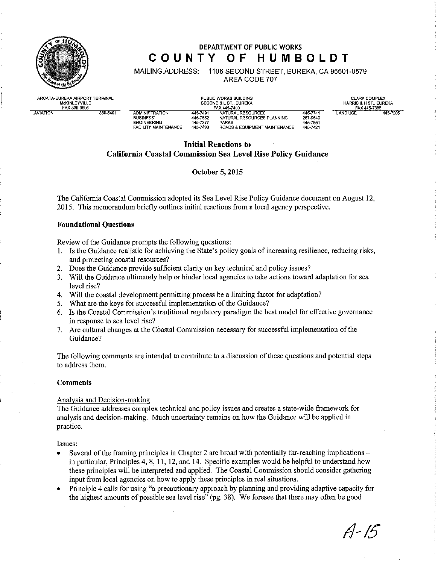

### DEPARTMENT OF PUBLIC WORKS COUNTY OF HUMBOLDT

**MAILING ADDRESS:** 1106 SECOND STREET, EUREKA, CA 95501-0579 AREA CODE 707

ARCATA-EUREKA AIRPORT TERMINAL McKINLEYVILLE **AVIATION** 839-5401

PUBLIC WORKS BUILDING SECOND & L ST., EUREKA NATURAL RESOURCES **ADMINISTRATION** 445-749 445-7652<br>445-7377 NATURAL RESOURCES PLANNING **BUSINESS** ENGINEERING **ENGINEERING**<br>FACILITY MAINTENANCE ROADS & FOURMENT MAINTENANCE

445-7493

**CLARK COMPLEX** HARRIS & H ST., EUREKA FAX 445-7388 445-7205 TANDUSE

445-7741

267-9540

----------<br>445–7851

446-7421

## **Initial Reactions to**

### **California Coastal Commission Sea Level Rise Policy Guidance**

#### October 5, 2015

The California Coastal Commission adopted its Sea Level Rise Policy Guidance document on August 12, 2015. This memorandum briefly outlines initial reactions from a local agency perspective.

#### **Foundational Questions**

Review of the Guidance prompts the following questions:

- 1. Is the Guidance realistic for achieving the State's policy goals of increasing resilience, reducing risks, and protecting coastal resources?
- 2. Does the Guidance provide sufficient clarity on key technical and policy issues?
- 3. Will the Guidance ultimately help or hinder local agencies to take actions toward adaptation for sea level rise?
- 4. Will the coastal development permitting process be a limiting factor for adaptation?
- What are the keys for successful implementation of the Guidance?  $5.$
- 6. Is the Coastal Commission's traditional regulatory paradigm the best model for effective governance in response to sea level rise?
- $7<sub>1</sub>$ Are cultural changes at the Coastal Commission necessary for successful implementation of the Guidance?

The following comments are intended to contribute to a discussion of these questions and potential steps to address them.

#### **Comments**

#### Analysis and Decision-making

The Guidance addresses complex technical and policy issues and creates a state-wide framework for analysis and decision-making. Much uncertainty remains on how the Guidance will be applied in practice.

Issues.

- Several of the framing principles in Chapter 2 are broad with potentially far-reaching implications in particular, Principles 4, 8, 11, 12, and 14. Specific examples would be helpful to understand how these principles will be interpreted and applied. The Coastal Commission should consider gathering input from local agencies on how to apply these principles in real situations.
- Principle 4 calls for using "a precautionary approach by planning and providing adaptive capacity for the highest amounts of possible sea level rise" (pg. 38). We foresee that there may often be good

 $A - 15$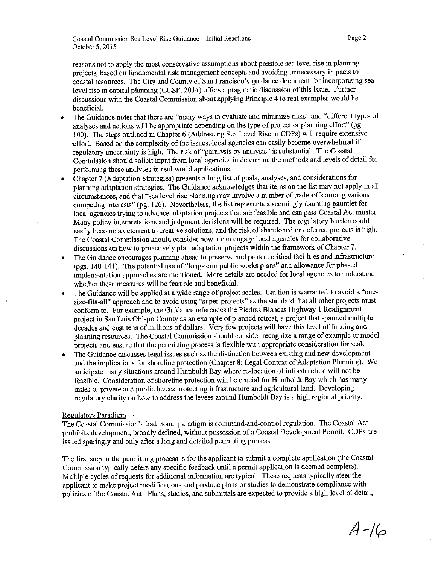Coastal Commission Sea Level Rise Guidance - Initial Reactions October 5, 2015

Page 2

reasons not to apply the most conservative assumptions about possible sea level rise in planning projects, based on fundamental risk management concepts and avoiding unnecessary impacts to coastal resources. The City and County of San Francisco's guidance document for incorporating sea level rise in capital planning (CCSF, 2014) offers a pragmatic discussion of this issue. Further discussions with the Coastal Commission about applying Principle 4 to real examples would be beneficial.

- The Guidance notes that there are "many ways to evaluate and minimize risks" and "different types of analyses and actions will be appropriate depending on the type of project or planning effort" (pg. 100). The steps outlined in Chapter 6 (Addressing Sea Level Rise in CDPs) will require extensive effort. Based on the complexity of the issues, local agencies can easily become overwhelmed if regulatory uncertainty is high. The risk of "paralysis by analysis" is substantial. The Coastal Commission should solicit input from local agencies in determine the methods and levels of detail for performing these analyses in real-world applications.
- Chapter 7 (Adaptation Strategies) presents a long list of goals, analyses, and considerations for planning adaptation strategies. The Guidance acknowledges that items on the list may not apply in all circumstances, and that "sea level rise planning may involve a number of trade-offs among various competing interests" (pg. 126). Nevertheless, the list represents a seemingly daunting gauntlet for local agencies trying to advance adaptation projects that are feasible and can pass Coastal Act muster. Many policy interpretations and judgment decisions will be required. The regulatory burden could easily become a deterrent to creative solutions, and the risk of abandoned or deferred projects is high. The Coastal Commission should consider how it can engage local agencies for collaborative discussions on how to proactively plan adaptation projects within the framework of Chapter 7.
- The Guidance encourages planning ahead to preserve and protect critical facilities and infrastructure (pgs. 140-141). The potential use of "long-term public works plans" and allowance for phased implementation approaches are mentioned. More details are needed for local agencies to understand whether these measures will be feasible and beneficial.
- The Guidance will be applied at a wide range of project scales. Caution is warranted to avoid a "onesize-fits-all" approach and to avoid using "super-projects" as the standard that all other projects must conform to. For example, the Guidance references the Piedras Blancas Highway 1 Realignment project in San Luis Obispo County as an example of planned retreat, a project that spanned multiple decades and cost tens of millions of dollars. Very few projects will have this level of funding and planning resources. The Coastal Commission should consider recognize a range of example or model projects and ensure that the permitting process is flexible with appropriate consideration for scale.
- The Guidance discusses legal issues such as the distinction between existing and new development and the implications for shoreline protection (Chapter 8: Legal Context of Adaptation Planning). We anticipate many situations around Humboldt Bay where re-location of infrastructure will not be feasible. Consideration of shoreline protection will be crucial for Humboldt Bay which has many miles of private and public levees protecting infrastructure and agricultural land. Developing regulatory clarity on how to address the levees around Humboldt Bay is a high regional priority.

#### Regulatory Paradigm

The Coastal Commission's traditional paradigm is command-and-control regulation. The Coastal Act prohibits development, broadly defined, without possession of a Coastal Development Permit. CDPs are issued sparingly and only after a long and detailed permitting process.

The first step in the permitting process is for the applicant to submit a complete application (the Coastal Commission typically defers any specific feedback until a permit application is deemed complete). Multiple cycles of requests for additional information are typical. These requests typically steer the applicant to make project modifications and produce plans or studies to demonstrate compliance with policies of the Coastal Act. Plans, studies, and submittals are expected to provide a high level of detail,

 $A - 16$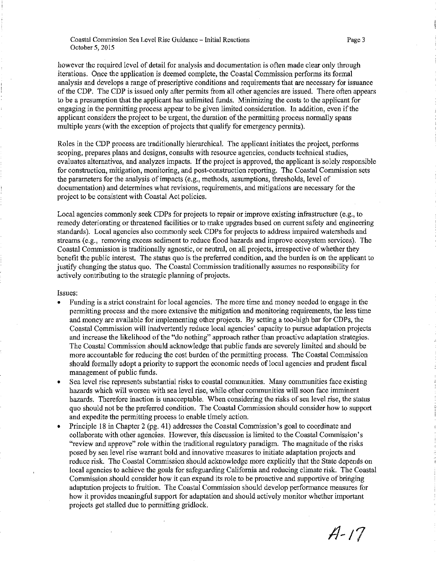Coastal Commission Sea Level Rise Guidance - Initial Reactions October 5, 2015

however the required level of detail for analysis and documentation is often made clear only through iterations. Once the application is deemed complete, the Coastal Commission performs its formal analysis and develops a range of prescriptive conditions and requirements that are necessary for issuance of the CDP. The CDP is issued only after permits from all other agencies are issued. There often appears to be a presumption that the applicant has unlimited funds. Minimizing the costs to the applicant for engaging in the permitting process appear to be given limited consideration. In addition, even if the applicant considers the project to be urgent, the duration of the permitting process normally spans multiple years (with the exception of projects that qualify for emergency permits).

Roles in the CDP process are traditionally hierarchical. The applicant initiates the project, performs scoping, prepares plans and designs, consults with resource agencies, conducts technical studies, evaluates alternatives, and analyzes impacts. If the project is approved, the applicant is solely responsible for construction, mitigation, monitoring, and post-construction reporting. The Coastal Commission sets the parameters for the analysis of impacts (e.g., methods, assumptions, thresholds, level of documentation) and determines what revisions, requirements, and mitigations are necessary for the project to be consistent with Coastal Act policies.

Local agencies commonly seek CDPs for projects to repair or improve existing infrastructure (e.g., to remedy deteriorating or threatened facilities or to make upgrades based on current safety and engineering standards). Local agencies also commonly seek CDPs for projects to address impaired watersheds and streams (e.g., removing excess sediment to reduce flood hazards and improve ecosystem services). The Coastal Commission is traditionally agnostic, or neutral, on all projects, irrespective of whether they benefit the public interest. The status quo is the preferred condition, and the burden is on the applicant to justify changing the status quo. The Coastal Commission traditionally assumes no responsibility for actively contributing to the strategic planning of projects.

#### Issues:

- Funding is a strict constraint for local agencies. The more time and money needed to engage in the permitting process and the more extensive the mitigation and monitoring requirements, the less time and money are available for implementing other projects. By setting a too-high bar for CDPs, the Coastal Commission will inadvertently reduce local agencies' capacity to pursue adaptation projects and increase the likelihood of the "do nothing" approach rather than proactive adaptation strategies. The Coastal Commission should acknowledge that public funds are severely limited and should be more accountable for reducing the cost burden of the permitting process. The Coastal Commission should formally adopt a priority to support the economic needs of local agencies and prudent fiscal management of public funds.
- Sea level rise represents substantial risks to coastal communities. Many communities face existing hazards which will worsen with sea level rise, while other communities will soon face imminent hazards. Therefore inaction is unacceptable. When considering the risks of sea level rise, the status quo should not be the preferred condition. The Coastal Commission should consider how to support and expedite the permitting process to enable timely action.
- Principle 18 in Chapter 2 (pg. 41) addresses the Coastal Commission's goal to coordinate and collaborate with other agencies. However, this discussion is limited to the Coastal Commission's "review and approve" role within the traditional regulatory paradigm. The magnitude of the risks posed by sea level rise warrant bold and innovative measures to initiate adaptation projects and reduce risk. The Coastal Commission should acknowledge more explicitly that the State depends on local agencies to achieve the goals for safeguarding California and reducing climate risk. The Coastal Commission should consider how it can expand its role to be proactive and supportive of bringing adaptation projects to fruition. The Coastal Commission should develop performance measures for how it provides meaningful support for adaptation and should actively monitor whether important projects get stalled due to permitting gridlock.

 $A - 17$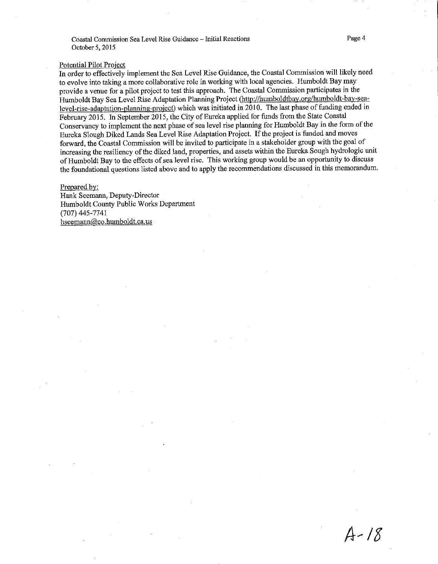Coastal Commission Sea Level Rise Guidance - Initial Reactions October 5, 2015

#### Potential Pilot Project

In order to effectively implement the Sea Level Rise Guidance, the Coastal Commission will likely need to evolve into taking a more collaborative role in working with local agencies. Humboldt Bay may provide a venue for a pilot project to test this approach. The Coastal Commission participates in the Humboldt Bay Sea Level Rise Adaptation Planning Project (http://humboldtbay.org/humboldt-bay-sealevel-rise-adaptation-planning-project) which was initiated in 2010. The last phase of funding ended in February 2015. In September 2015, the City of Eureka applied for funds from the State Coastal Conservancy to implement the next phase of sea level rise planning for Humboldt Bay in the form of the Eureka Slough Diked Lands Sea Level Rise Adaptation Project. If the project is funded and moves forward, the Coastal Commission will be invited to participate in a stakeholder group with the goal of increasing the resiliency of the diked land, properties, and assets within the Eureka Sough hydrologic unit of Humboldt Bay to the effects of sea level rise. This working group would be an opportunity to discuss the foundational questions listed above and to apply the recommendations discussed in this memorandum.

#### Prepared by:

Hank Seemann, Deputy-Director Humboldt County Public Works Department  $(707)$  445-7741 hseemann@co.humboldt.ca.us

 $A - 18$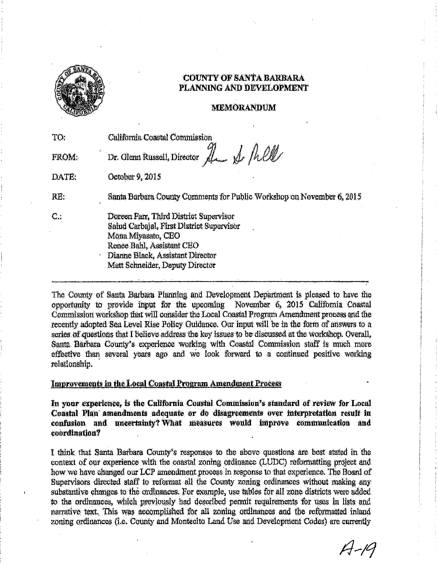

### **COUNTY OF SANTA BARBARA** PLANNING AND DEVELOPMENT

#### **MEMORANDUM**

| TO:   | California Coastal Commission                                                                                                                                                                                 |
|-------|---------------------------------------------------------------------------------------------------------------------------------------------------------------------------------------------------------------|
| FROM: | Dr. Glenn Russell, Director Le & Mell                                                                                                                                                                         |
| DATE: | October 9, 2015                                                                                                                                                                                               |
| RE.   | Santa Barbara County Comments for Public Workshop on November 6, 2015                                                                                                                                         |
| $C$ : | Doreen Farr, Third District Supervisor<br>Salud Carbajal, First District Supervisor<br>Mona Miyasato, CEO<br>Renee Bahl, Assistant CEO<br>Dianne Black, Assistant Director<br>Matt Schneider, Deputy Director |

The County of Santa Barbara Planning and Development Department is pleased to have the opportunity to provide input for the upcoming November 6, 2015 California Coastal Commission workshop that will consider the Local Coastal Program Amendment process and the recently adopted Sea Level Rise Policy Guidance. Our input will be in the form of answers to a series of questions that I believe address the key issues to be discussed at the workshop. Overall, Santa Barbara County's experience working with Coastal Commission staff is much more effective than several years ago and we look forward to a continued positive working relationship.

#### Improvements in the Local Coastal Program Amendment Process

In your experience, is the California Coastal Commission's standard of review for Local Coastal Plan amendments adequate or do disagreements over interpretation result in confusion and uncertainty? What measures would improve communication and coordination?

I think that Santa Barbara County's responses to the above questions are best stated in the context of our experience with the coastal zoning ordinance (LUDC) reformatting project and how we have changed our LCP amendment process in response to that experience. The Board of Supervisors directed staff to reformat all the County zoning ordinances without making any substantive changes to the ordinances. For example, use tables for all zone districts were added to the ordinances, which previously had described permit requirements for uses in lists and narrative text. This was accomplished for all zoning ordinances and the reformatted inland zoning ordinances (i.e. County and Montecito Land Use and Development Codes) are currently

 $A - 19$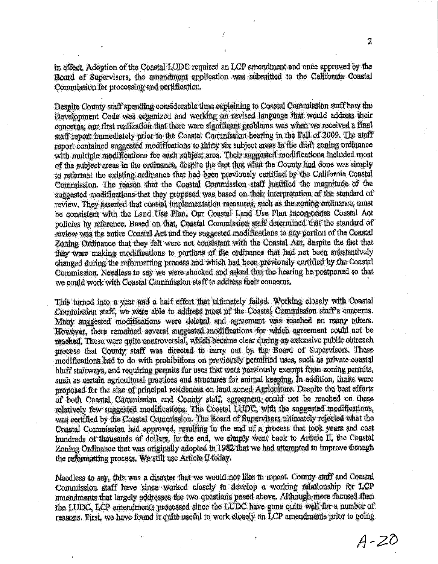in effect. Adoption of the Coastal LUDC required an LCP amendment and once approved by the Board of Supervisors, the amendment application was submitted to the California Coastal Commission for processing and certification,

Despite County staff spending considerable time explaining to Coastal Commission staff how the Development Code was organized and working on revised language that would address their concerns, our first realization that there were significant problems was when we received a final staff report immediately prior to the Coastal Commission hearing in the Fall of 2009. The staff report contained suggested modifications to thirty six subject areas in the draft zoning ordinance with multiple modifications for each subject area. Their suggested modifications included most of the subject areas in the ordinance, despite the fact that what the County had done was simply to reformat the existing ordinance that had been previously certified by the California Coastal Commission. The reason that the Coastal Commission staff justified the magnitude of the suggested modifications that they proposed was based on their interpretation of the standard of review. They asserted that coastal implementation measures, such as the zoning ordinance, must be consistent with the Land Use Plan. Our Coastal Land Use Plan incorporates Coastal Act policies by reference. Based on that, Coastal Commission staff determined that the standard of review was the entire Coastal Act and they suggested modifications to any portion of the Coastal Zoning Ordinance that they felt were not consistent with the Coastal Act. despite the fact that they were making modifications to portions of the ordinance that had not been substantively changed during the reformatting process and which had been previously certified by the Coastal Commission. Needless to say we were shocked and asked that the hearing be postponed so that we could work with Coastal Commission staff to address their concerns.

This turned into a year and a half effort that ultimately failed. Working closely with Coastal Commission staff, we were able to address most of the Coastal Commission staff's concerns. Many suggested modifications were deleted and agreement was reached on many others. However, there remained several suggested modifications for which agreement could not be reached. These were quite controversial, which became clear during an extensive public outreach process that County staff was directed to carry out by the Board of Supervisors. These modifications had to do with prohibitions on previously permitted uses, such as private coastal bluff stairways, and requiring permits for uses that were previously exempt from zoning permits, such as certain agricultural practices and structures for animal keeping, in addition, limits were proposed for the size of principal residences on land zoned Agriculture. Despite the best efforts of both Coastal Commission and County staff, agreement could not be reached on these relatively few suggested modifications. The Coastal LUDC, with the suggested modifications, was certified by the Coastal Commission. The Board of Supervisors ultimately rejected what the Coastal Commission had approved, resulting in the end of a process that took years and cost hundreds of thousands of dollars. In the end, we simply went back to Article II, the Coastal Zoning Ordinance that was originally adopted in 1982 that we had attempted to improve through the reformatting process. We still use Article II today.

Needless to say, this was a disaster that we would not like to repeat. County staff and Coastal Commission staff have since worked closely to develop a working relationship for LCP amendments that largely addresses the two questions posed above. Although more focused than the LUDC, LCP amendments processed since the LUDC have gone quite well for a number of reasons. First, we have found it quite useful to work closely on LCP amendments prior to going

 $\mathbf 2$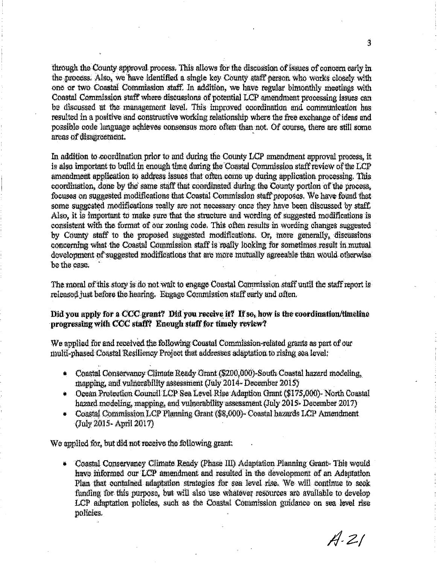through the County approval process. This allows for the discussion of issues of concern early in the process. Also, we have identified a single key County staff person who works closely with one or two Coastal Commission staff. In addition, we have regular bimonthly meetings with Coastal Commission staff where discussions of potential LCP amendment processing issues can be discussed at the management level. This improved coordination and communication has resulted in a positive and constructive working relationship where the free exchange of ideas and possible code language achieves consensus more often than not. Of course, there are still some areas of disagreement.

In addition to coordination prior to and during the County LCP amendment approval process, it is also important to build in enough time during the Coastal Commission staff review of the LCP amendment application to address issues that often come up during application processing. This coordination, done by the same staff that coordinated during the County portion of the process. focuses on suggested modifications that Coastal Commission staff proposes. We have found that some suggested modifications really are not necessary once they have been discussed by staff. Also, it is important to make sure that the structure and wording of suggested modifications is consistent with the format of our zoning code. This often results in wording changes suggested by County staff to the proposed suggested modifications. Or, more generally, discussions concerning what the Coastal Commission staff is really looking for sometimes result in mutual development of suggested modifications that are more mutually agreeable than would otherwise be the case.

The moral of this story is do not wait to engage Coastal Commission staff until the staff report is released just before the hearing. Engage Commission staff early and often.

#### Did you apply for a CCC grant? Did you receive it? If so, how is the coordination/timeline progressing with CCC staff? Enough staff for timely review?

We applied for and received the following Coastal Commission-related grants as part of our multi-phased Coastal Resiliency Project that addresses adaptation to rising sea level:

- Constal Conservancy Climate Ready Grant (\$200,000)-South Coastal hazard modeling, mapping, and vulnerability assessment (July 2014- December 2015)
- Ocean Protection Council LCP Sea Level Rise Adaption Grant (\$175,000)- North Coastal hazard modeling, mapping, and vulnerability assessment (July 2015- December 2017)
- Coastal Commission LCP Planning Grant (\$8,000)- Coastal hazards LCP Amendment (July 2015 - April 2017)

We applied for, but did not receive the following grant.

 $\frac{1}{2}$ Coastal Conservancy Climate Ready (Phase III) Adaptation Planning Grant-This would have informed our LCP amendment and resulted in the development of an Adaptation Plan that contained adaptation strategies for sea level rise. We will continue to seek funding for this purpose, but will also use whatever resources are available to develop LCP adaptation policies, such as the Coastal Commission guidance on sea level rise policies.

 $A.21$ 

3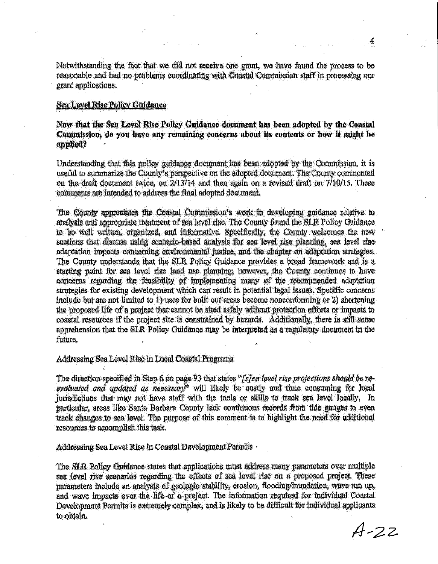Notwithstanding the fact that we did not receive one grant, we have found the process to be reasonable and had no problems coordinating with Coastal Commission staff in processing our grant applications.

#### **Sea Level Rise Policy Guidance**

Now that the Sea Level Rise Policy Guidance document has been adopted by the Coastal Commission, do you have any remaining concerns about its contents or how it might be applied?

Understanding that this policy guidance document has been adopted by the Commission, it is useful to summarize the County's perspective on the adopted document. The County commented on the draft document twice, on 2/13/14 and then again on a revised draft on 7/10/15. These comments are intended to address the final adopted document.

The County appreciates the Coastal Commission's work in developing guidance relative to analysis and appropriate treatment of sea level rise. The County found the SLR Policy Guidance to be well written, organized, and informative. Specifically, the County welcomes the new sections that discuss using scenario-based analysis for sea level rise planning, sea level rise adaptation impacts concerning environmental justice, and the chapter on adaptation strategies. The County understands that the SLR Policy Guidance provides a broad framework and is a starting point for sea level rise land use planning, however, the County continues to have concerns regarding the feasibility of implementing many of the recommended adaptation strategies for existing development which can result in potential legal issues. Specific concerns include but are not limited to 1) uses for built out areas become nonconforming or 2) shortening the proposed life of a project that cannot be sited safely without protection efforts or impacts to coastal resources if the project site is constrained by hazards. Additionally, there is still some apprehension that the SLR Policy Guidance may be interpreted as a regulatory document in the future.

#### Addressing Sea Level Rise in Local Coastal Programs

The direction specified in Step 6 on page 93 that states "[s]ea level rise projections should be reevaluated and updated as necessary" will likely be costly and time consuming for local jurisdictions that may not have staff with the tools or skills to track sea level locally. In particular, areas like Santa Barbara County lack continuous records from tide gauges to even track changes to sea level. The purpose of this comment is to highlight the need for additional resources to accomplish this task.

Addressing Sea Level Rise in Coastal Development Permits .

The SLR Policy Guidance states that applications must address many parameters over multiple sea level rise scenarios regarding the effects of sea level rise on a proposed project. These parameters include an analysis of geologic stability, erosion, flooding/inundation, wave run up, and wave impacts over the life of a project. The information required for individual Coastal Development Permits is extremely complex, and is likely to be difficult for individual applicants to obtain.

 $A - 22$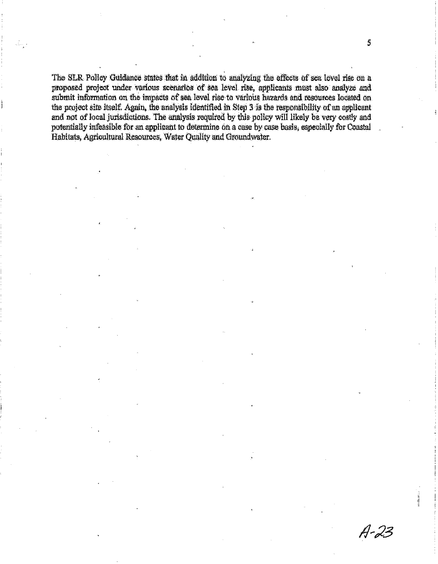The SLR Policy Guidance states that in addition to analyzing the effects of sea level rise on a proposed project under various scenarios of sea level rise, applicants must also analyze and submit information on the impacts of sea level rise to various hazards and resources located on the project site itself. Again, the analysis identified in Step 3 is the responsibility of an applicant and not of local jurisdictions. The analysis required by this policy will likely be very costly and potentially infeasible for an applicant to determine on a case by case basis, especially for Coastal Habitats, Agricultural Resources, Water Quality and Groundwater.

 $A - 23$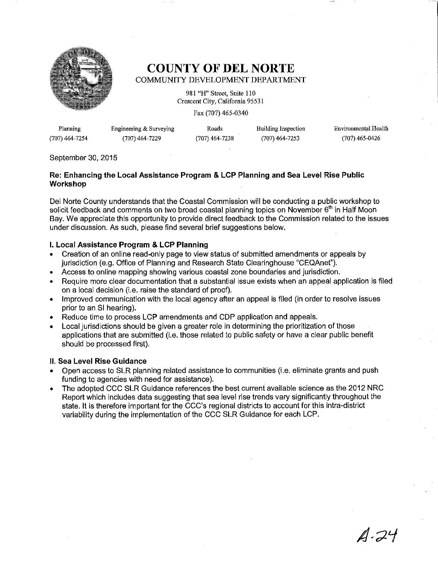

### **COUNTY OF DEL NORTE** COMMUNITY DEVELOPMENT DEPARTMENT

981 "H" Street, Suite 110 Crescent City, California 95531

Fax (707) 465-0340

| Planning       | Engineering & Surveying | Roads          | Building Inspection | Environmental Health |
|----------------|-------------------------|----------------|---------------------|----------------------|
| (707) 464-7254 | (707) 464-7229          | (707) 464-7238 | $(707)$ 464-7253    | (707) 465-0426       |

#### September 30, 2015

#### Re: Enhancing the Local Assistance Program & LCP Planning and Sea Level Rise Public **Workshop**

Del Norte County understands that the Coastal Commission will be conducting a public workshop to solicit feedback and comments on two broad coastal planning topics on November 6<sup>th</sup> in Half Moon Bay. We appreciate this opportunity to provide direct feedback to the Commission related to the issues under discussion. As such, please find several brief suggestions below.

#### I. Local Assistance Program & LCP Planning

- Creation of an online read-only page to view status of submitted amendments or appeals by jurisdiction (e.g. Office of Planning and Research State Clearinghouse "CEQAnet").
- Access to online mapping showing various coastal zone boundaries and jurisdiction.  $\bullet$
- $\bullet$ Require more clear documentation that a substantial issue exists when an appeal application is filed on a local decision (i.e. raise the standard of proof).
- Improved communication with the local agency after an appeal is filed (in order to resolve issues prior to an SI hearing).
- Reduce time to process LCP amendments and CDP application and appeals.
- Local jurisdictions should be given a greater role in determining the prioritization of those  $\bullet$ applications that are submitted (i.e. those related to public safety or have a clear public benefit should be processed first).

#### II. Sea Level Rise Guidance

- Open access to SLR planning related assistance to communities (i.e. eliminate grants and push funding to agencies with need for assistance).
- The adopted CCC SLR Guidance references the best current available science as the 2012 NRC  $\bullet$ Report which includes data suggesting that sea level rise trends vary significantly throughout the state. It is therefore important for the CCC's regional districts to account for this intra-district variability during the implementation of the CCC SLR Guidance for each LCP.

 $A.24$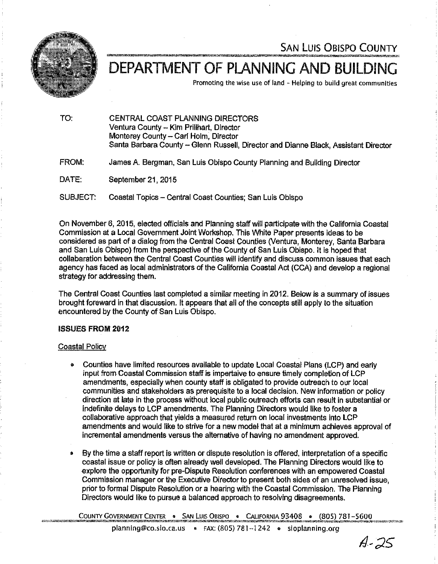

**SAN LUIS OBISPO COUNTY** 

# DEPARTMENT OF PLANNING AND BUILDING

Promoting the wise use of land - Helping to build great communities

| TO:      | CENTRAL COAST PLANNING DIRECTORS<br>Ventura County -- Kim Prillhart, Director<br>Monterey County - Carl Holm, Director<br>Santa Barbara County - Glenn Russell, Director and Dianne Black, Assistant Director |
|----------|---------------------------------------------------------------------------------------------------------------------------------------------------------------------------------------------------------------|
| FROM:    | James A. Bergman, San Luis Obispo County Planning and Building Director                                                                                                                                       |
| DATE:    | September 21, 2015                                                                                                                                                                                            |
| SUBJECT: | Coastal Topics – Central Coast Counties: San Luis Obispo                                                                                                                                                      |

On November 6, 2015, elected officials and Planning staff will participate with the California Coastal Commission at a Local Government Joint Workshop. This White Paper presents ideas to be considered as part of a dialog from the Central Coast Counties (Ventura, Monterey, Santa Barbara and San Luis Obispo) from the perspective of the County of San Luis Obispo. It is hoped that collabaration between the Central Coast Counties will identify and discuss common issues that each agency has faced as local administrators of the California Coastal Act (CCA) and develop a regional strategy for addressing them.

The Central Coast Counties last completed a similar meeting in 2012. Below is a summary of issues brought foreward in that discussion. It appears that all of the concepts still apply to the situation encountered by the County of San Luis Obispo.

#### **ISSUES FROM 2012**

#### Coastal Policy

- Counties have limited resources available to update Local Coastal Plans (LCP) and early input from Coastal Commission staff is impertaive to ensure timely completion of LCP amendments, especially when county staff is obligated to provide outreach to our local communities and stakeholders as prerequisite to a local decision. New information or policy direction at late in the process without local public outreach efforts can result in substantial or indefinite delays to LCP amendments. The Planning Directors would like to foster a collaborative approach that vields a measured return on local investments into LCP amendments and would like to strive for a new model that at a minimum achieves approval of incremental amendments versus the alternative of having no amendment approved.
- By the time a staff report is written or dispute resolution is offered, interpretation of a specific coastal issue or policy is often already well developed. The Planning Directors would like to explore the opportunity for pre-Dispute Resolution conferences with an empowered Coastal Commission manager or the Executive Director to present both sides of an unresolved issue. prior to formal Dispute Resolution or a hearing with the Coastal Commission. The Planning Directors would like to pursue a balanced approach to resolving disagreements.

COUNTY GOVERNMENT CENTER . SAN LUIS OBISPO . CALIFORNIA 93408 . (805) 781-5600

A-25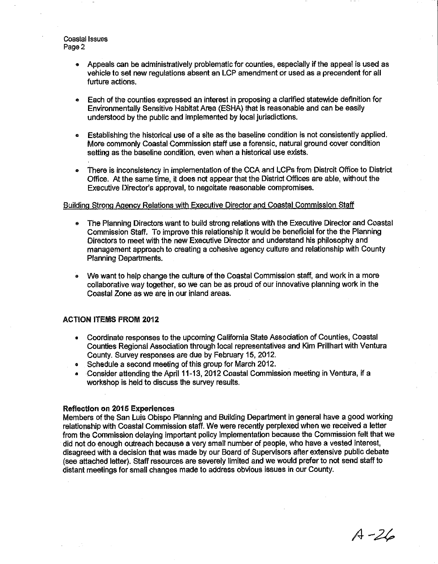**Coastal Issues** Page 2

- Appeals can be administratively problematic for counties, especially if the appeal is used as vehicle to set new regulations absent an LCP amendment or used as a precendent for all furture actions.
- Each of the counties expressed an interest in proposing a clarified statewide definition for Environmentally Sensitive Habitat Area (ESHA) that is reasonable and can be easily understood by the public and implemented by local iurisdictions.
- Establishing the historical use of a site as the baseline condition is not consistently applied.  $\bullet$ More commonly Coastal Commission staff use a forensic, natural ground cover condition setting as the baseline condition, even when a historical use exists.
- There is inconsistency in implementation of the CCA and LCPs from Distrcit Office to District Office. At the same time, it does not appear that the District Offices are able, without the Executive Director's approval, to negoliate reasonable compromises.

#### Building Strong Agency Relations with Executive Director and Coastal Commission Staff

- The Planning Directors want to build strong relations with the Executive Director and Coastal Commission Staff. To improve this relationship it would be beneficial for the the Planning Directors to meet with the new Executive Director and understand his philosophy and management approach to creating a cohesive agency culture and relationship with County **Planning Departments.**
- We want to help change the culture of the Coastal Commission staff, and work in a more collaborative way together, so we can be as proud of our innovative planning work in the Coastal Zone as we are in our inland areas.

#### **ACTION ITEMS FROM 2012**

- Coordinate responses to the upcoming California State Association of Counties, Coastal  $\bullet$ Counties Regional Association through local representatives and Kim Prillhart with Ventura County. Survey responses are due by February 15, 2012.
- Schedule a second meeting of this group for March 2012.
- Consider attending the April 11-13, 2012 Coastal Commission meeting in Ventura, if a workshop is held to discuss the survey results.

#### **Reflection on 2015 Experiences**

Members of the San Luis Obispo Planning and Building Department in general have a good working relationship with Coastal Commission staff. We were recently perplexed when we received a letter from the Commission delaying important policy implementation because the Commission felt that we did not do enough outreach because a very small number of people, who have a vested interest, disagreed with a decision that was made by our Board of Supervisors after extensive public debate (see attached letter). Staff resources are severely limited and we would prefer to not send staff to distant meetings for small changes made to address obvious issues in our County.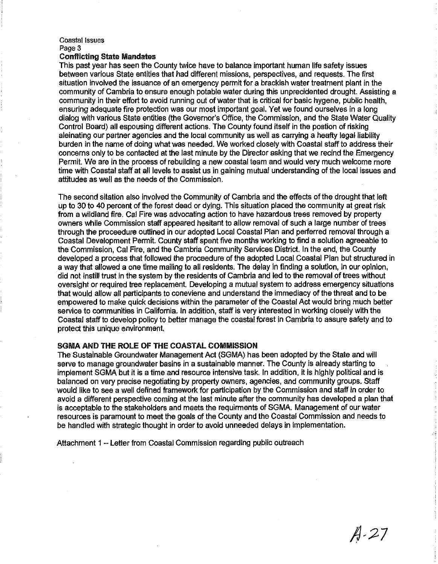#### **Coastal Issues** Page 3

#### **Conflicting State Mandates**

This past year has seen the County twice have to balance important human life safety issues between various State entities that had different missions, perspectives, and requests. The first situation involved the issuance of an emergency permit for a brackish water treatment plant in the community of Cambria to ensure enough potable water during this unprecidented drought. Assisting a community in their effort to avoid running out of water that is critical for basic hygene, public health, ensuring adequate fire protection was our most important goal. Yet we found ourselves in a long dialog with various State entities (the Governor's Office, the Commission, and the State Water Quality Control Board) all espousing different actions. The County found itself in the postion of risking aleinating our partner agencies and the local community as well as carrying a heafty legal liability burden in the name of doing what was needed. We worked closely with Coastal staff to address their concerns only to be contacted at the last minute by the Director asking that we recind the Emergency Permit. We are in the process of rebuilding a new coastal team and would very much welcome more time with Coastal staff at all levels to assist us in gaining mutual understanding of the local issues and attitudes as well as the needs of the Commission.

The second sitation also involved the Community of Cambria and the effects of the drought that left up to 30 to 40 percent of the forest dead or dying. This situation placed the community at great risk from a wildland fire. Cal Fire was advocating action to have hazardous trees removed by property owners while Commission staff appeared hesitant to allow removal of such a large number of trees through the proceedure outlined in our adopted Local Coastal Plan and perferred removal through a Coastal Development Permit. County staff spent five months working to find a solution agreeable to the Commission, Cal Fire, and the Cambria Community Services District, In the end, the County developed a process that followed the proceedure of the adopted Local Coastal Plan but structured in a way that allowed a one time mailing to all residents. The delay in finding a solution, in our opinion, did not instill trust in the system by the residents of Cambria and led to the removal of trees without oversight or required tree replacement. Developing a mutual system to address emergency situations that would allow all participants to coneviene and understand the immediacy of the threat and to be empowered to make quick decisions within the parameter of the Coastal Act would bring much better service to communities in California. In addition, staff is very interested in working closely with the Coastal staff to develop policy to better manage the coastal forest in Cambria to assure safety and to protect this unique environment.

#### SGMA AND THE ROLE OF THE COASTAL COMMISSION

The Sustainable Groundwater Management Act (SGMA) has been adopted by the State and will serve to manage groundwater basins in a sustainable manner. The County is already starting to implement SGMA but it is a time and resource intensive task. In addition, it is highly political and is balanced on very precise negotiating by property owners, agencies, and community groups. Staff would like to see a well defined framework for participation by the Commission and staff in order to avoid a different perspective coming at the last minute after the community has developed a plan that is acceptable to the stakeholders and meets the requirments of SGMA. Management of our water resources is paramount to meet the goals of the County and the Coastal Commission and needs to be handled with strategic thought in order to avoid unneeded delays in implementation.

Attachment 1 - Letter from Coastal Commission regarding public outreach

 $A - 27$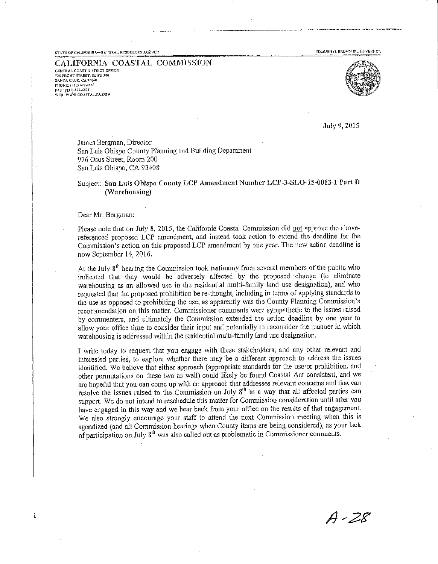STATE OF CALIFORNIA-NATURAL RESOURCES AGENCY

EDMUND G. BROWN JR., GOVERNOR

CALIFORNIA COASTAL COMMISSION **CENTRAL COAST DISTRICT OFFICE** 725 FRONT STREET, SUFFE 100 **SANTA CRUZ, CA 95060**<br>PHQNE: (831) 427-4863 FAX: (331) 427-4877<br>WEB: WWW.COASTAL.CA.QOV



July 9, 2015

James Bergman, Director San Luis Obispo County Planning and Building Department 976 Osos Street, Room 200 San Luis Obispo, CA 93408

#### Subject: San Luis Obispo County LCP Amendment Number LCP-3-SLO-15-0013-1 Part D (Warehousing)

Dear Mr. Bergman:

Please note that on July 8, 2015, the California Coastal Commission did not approve the abovereferenced proposed LCP amendment, and instead took action to extend the deadline for the Commission's action on this proposed LCP amendment by one year. The new action deadline is now September 14, 2016.

At the July  $8<sup>th</sup>$  hearing the Commission took testimony from several members of the public who indicated that they would be adversely affected by the proposed change (to eliminate warehousing as an allowed use in the residential multi-family land use designation), and who requested that the proposed prohibition be re-thought, including in terms of applying standards to the use as opposed to prohibiting the use, as apparently was the County Planning Commission's recommendation on this matter. Commissioner comments were sympathetic to the issues raised by commenters, and ultimately the Commission extended the action deadline by one year to allow your office time to consider their input and potentially to reconsider the manner in which warehousing is addressed within the residential multi-family land use designation.

I write today to request that you engage with these stakeholders, and any other relevant and interested parties, to explore whether there may be a different approach to address the issues identified. We believe that either approach (appropriate standards for the use or prohibition, and other permutations on these two as well) could likely be found Coastal Act consistent, and we are hopeful that you can come up with an approach that addresses relevant concerns and that can resolve the issues raised to the Commission on July 8<sup>th</sup> in a way that all affected parties can support. We do not intend to reschedule this matter for Commission consideration until after you have engaged in this way and we hear back from your office on the results of that engagement. We also strongly encourage your staff to attend the next Commission meeting when this is agendized (and all Commission hearings when County items are being considered), as your lack of participation on July 8<sup>th</sup> was also called out as problematic in Commissioner comments.

 $A - 28$